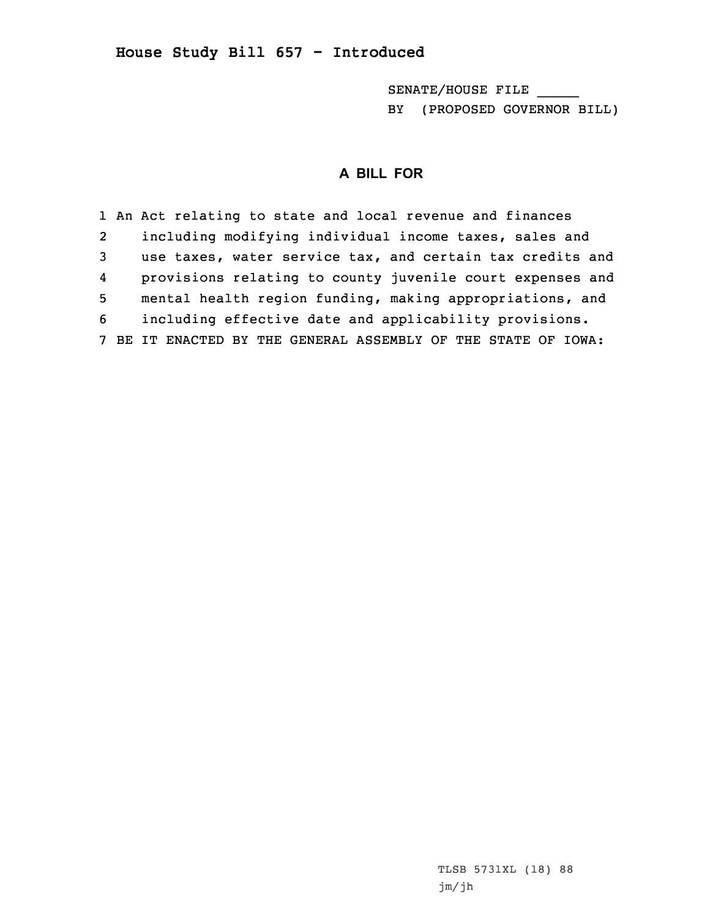## **House Study Bill 657 - Introduced**

SENATE/HOUSE FILE \_\_\_\_\_ BY (PROPOSED GOVERNOR BILL)

## **A BILL FOR**

1 An Act relating to state and local revenue and finances 2 including modifying individual income taxes, sales and 3 use taxes, water service tax, and certain tax credits and 4 provisions relating to county juvenile court expenses and 5 mental health region funding, making appropriations, and 6 including effective date and applicability provisions. 7 BE IT ENACTED BY THE GENERAL ASSEMBLY OF THE STATE OF IOWA:

> TLSB 5731XL (18) 88 jm/jh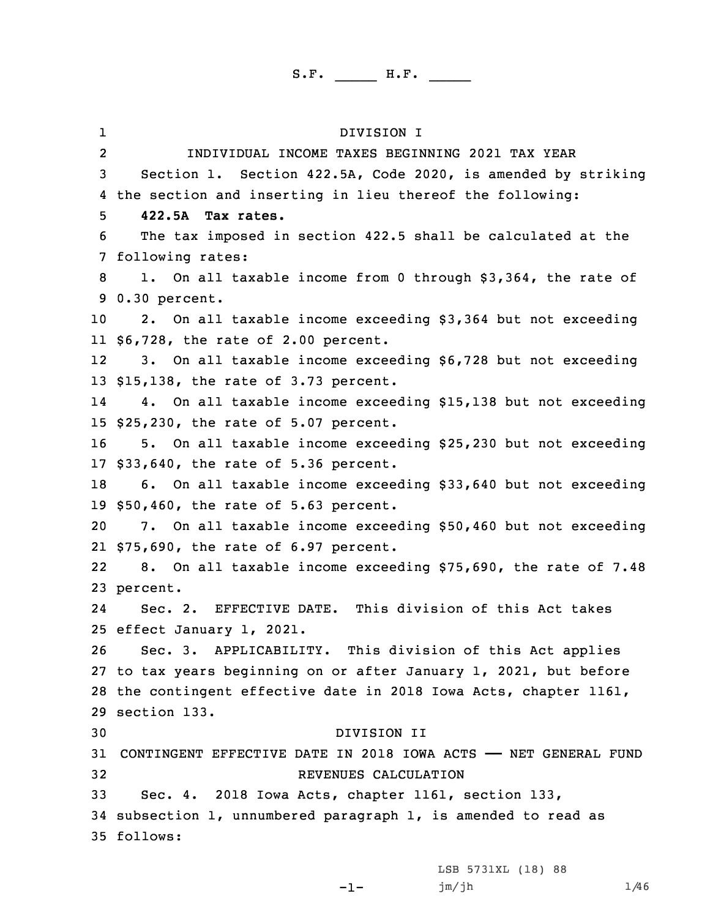1 DIVISION I 2 INDIVIDUAL INCOME TAXES BEGINNING 2021 TAX YEAR Section 1. Section 422.5A, Code 2020, is amended by striking the section and inserting in lieu thereof the following: **422.5A Tax rates.** The tax imposed in section 422.5 shall be calculated at the following rates: 1. On all taxable income from 0 through \$3,364, the rate of 0.30 percent. 2. On all taxable income exceeding \$3,364 but not exceeding \$6,728, the rate of 2.00 percent. 12 3. On all taxable income exceeding \$6,728 but not exceeding \$15,138, the rate of 3.73 percent. 14 4. On all taxable income exceeding \$15,138 but not exceeding \$25,230, the rate of 5.07 percent. 5. On all taxable income exceeding \$25,230 but not exceeding \$33,640, the rate of 5.36 percent. 6. On all taxable income exceeding \$33,640 but not exceeding \$50,460, the rate of 5.63 percent. 7. On all taxable income exceeding \$50,460 but not exceeding \$75,690, the rate of 6.97 percent. 22 8. On all taxable income exceeding \$75,690, the rate of 7.48 23 percent. 24 Sec. 2. EFFECTIVE DATE. This division of this Act takes effect January 1, 2021. Sec. 3. APPLICABILITY. This division of this Act applies to tax years beginning on or after January 1, 2021, but before the contingent effective date in 2018 Iowa Acts, chapter 1161, section 133. DIVISION II CONTINGENT EFFECTIVE DATE IN 2018 IOWA ACTS —— NET GENERAL FUND REVENUES CALCULATION Sec. 4. 2018 Iowa Acts, chapter 1161, section 133, subsection 1, unnumbered paragraph 1, is amended to read as 35 follows:

 $-1-$ 

LSB 5731XL (18) 88  $jm/jh$  1/46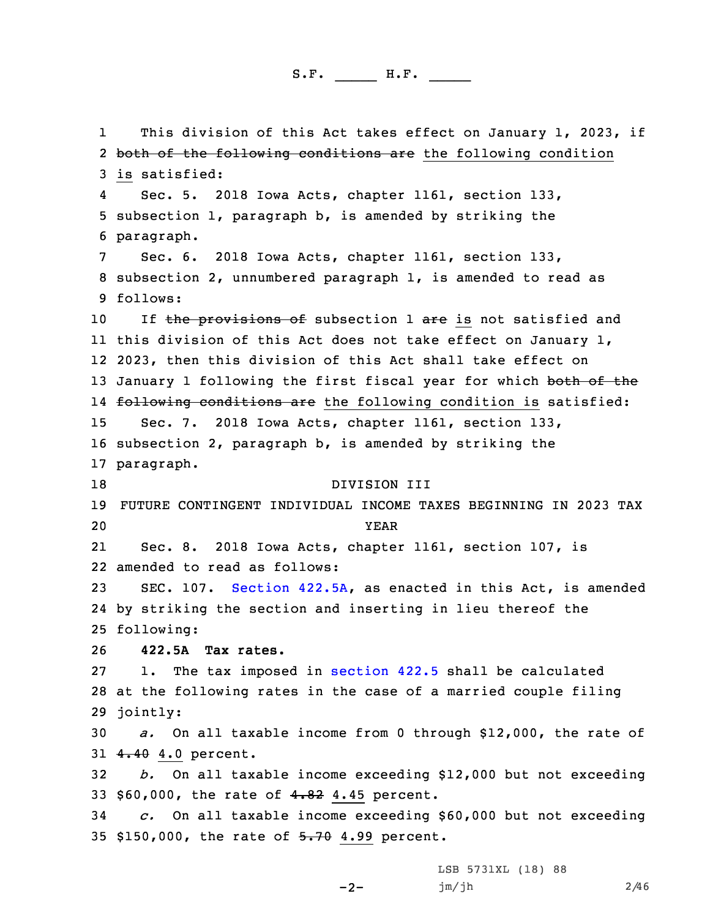1 This division of this Act takes effect on January 1, 2023, if 2 both of the following conditions are the following condition 3 is satisfied: 4 Sec. 5. 2018 Iowa Acts, chapter 1161, section 133, 5 subsection 1, paragraph b, is amended by striking the 6 paragraph. 7 Sec. 6. 2018 Iowa Acts, chapter 1161, section 133, 8 subsection 2, unnumbered paragraph 1, is amended to read as 9 follows: 10 If the provisions of subsection 1 are is not satisfied and 11 this division of this Act does not take effect on January 1, 12 2023, then this division of this Act shall take effect on 13 January 1 following the first fiscal year for which both of the 14 <del>following conditions are</del> the following condition is satisfied: 15 Sec. 7. 2018 Iowa Acts, chapter 1161, section 133, 16 subsection 2, paragraph b, is amended by striking the 17 paragraph. 18 DIVISION III 19 FUTURE CONTINGENT INDIVIDUAL INCOME TAXES BEGINNING IN 2023 TAX 20 YEAR 21 Sec. 8. 2018 Iowa Acts, chapter 1161, section 107, is 22 amended to read as follows: 23 SEC. 107. [Section](https://www.legis.iowa.gov/docs/code/2020/422.5A.pdf) 422.5A, as enacted in this Act, is amended 24 by striking the section and inserting in lieu thereof the 25 following: 26 **422.5A Tax rates.** 27 1. The tax imposed in [section](https://www.legis.iowa.gov/docs/code/2020/422.5.pdf) 422.5 shall be calculated 28 at the following rates in the case of <sup>a</sup> married couple filing 29 jointly: 30 *a.* On all taxable income from 0 through \$12,000, the rate of 31 4.40 4.0 percent. 32 *b.* On all taxable income exceeding \$12,000 but not exceeding 33 \$60,000, the rate of 4.82 4.45 percent. 34 *c.* On all taxable income exceeding \$60,000 but not exceeding 35 \$150,000, the rate of 5.70 4.99 percent.

-2-

LSB 5731XL (18) 88 jm/jh 2/46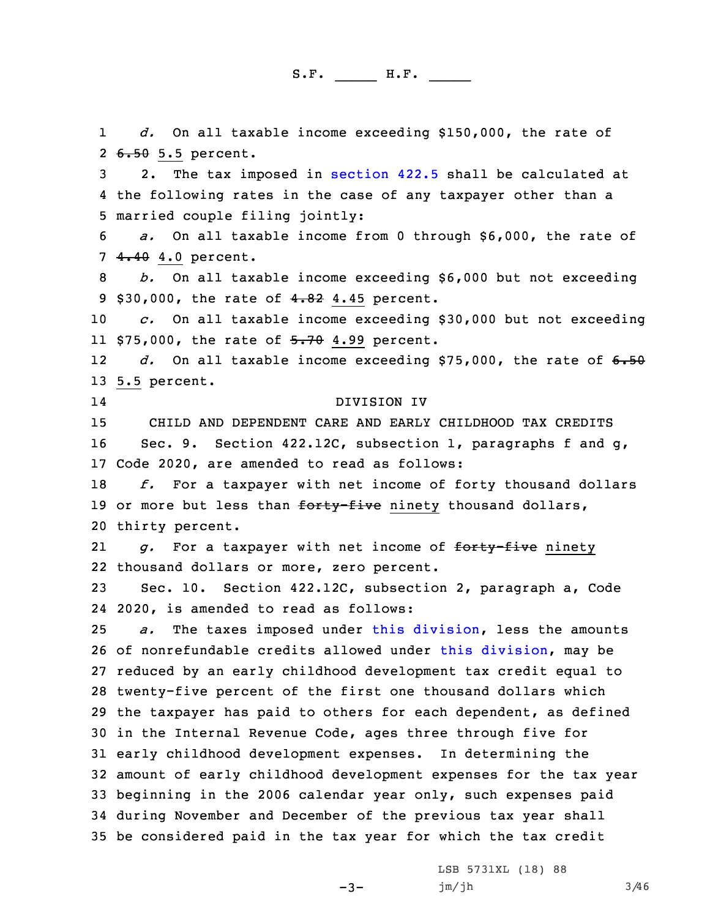1 *d.* On all taxable income exceeding \$150,000, the rate of 2 <del>6.50</del> 5.5 percent. 2. The tax imposed in [section](https://www.legis.iowa.gov/docs/code/2020/422.5.pdf) 422.5 shall be calculated at the following rates in the case of any taxpayer other than <sup>a</sup> married couple filing jointly: *a.* On all taxable income from 0 through \$6,000, the rate of 4.40 4.0 percent. *b.* On all taxable income exceeding \$6,000 but not exceeding 9 \$30,000, the rate of 4.82 4.45 percent. *c.* On all taxable income exceeding \$30,000 but not exceeding 11 \$75,000, the rate of <del>5.70</del> 4.99 percent. 12 *d.* On all taxable income exceeding \$75,000, the rate of 6.50 5.5 percent. 14 DIVISION IV CHILD AND DEPENDENT CARE AND EARLY CHILDHOOD TAX CREDITS 16 Sec. 9. Section 422.12C, subsection 1, paragraphs f and g, Code 2020, are amended to read as follows: *f.* For <sup>a</sup> taxpayer with net income of forty thousand dollars 19 or more but less than forty-five ninety thousand dollars, thirty percent. 21 *g.* For <sup>a</sup> taxpayer with net income of forty-five ninety thousand dollars or more, zero percent. Sec. 10. Section 422.12C, subsection 2, paragraph a, Code 2020, is amended to read as follows: *a.* The taxes imposed under this [division](https://www.legis.iowa.gov/docs/code/2020/422.pdf), less the amounts of nonrefundable credits allowed under this [division](https://www.legis.iowa.gov/docs/code/2020/422.pdf), may be reduced by an early childhood development tax credit equal to twenty-five percent of the first one thousand dollars which the taxpayer has paid to others for each dependent, as defined in the Internal Revenue Code, ages three through five for early childhood development expenses. In determining the amount of early childhood development expenses for the tax year beginning in the 2006 calendar year only, such expenses paid during November and December of the previous tax year shall be considered paid in the tax year for which the tax credit

-3-

LSB 5731XL (18) 88 jm/jh 3/46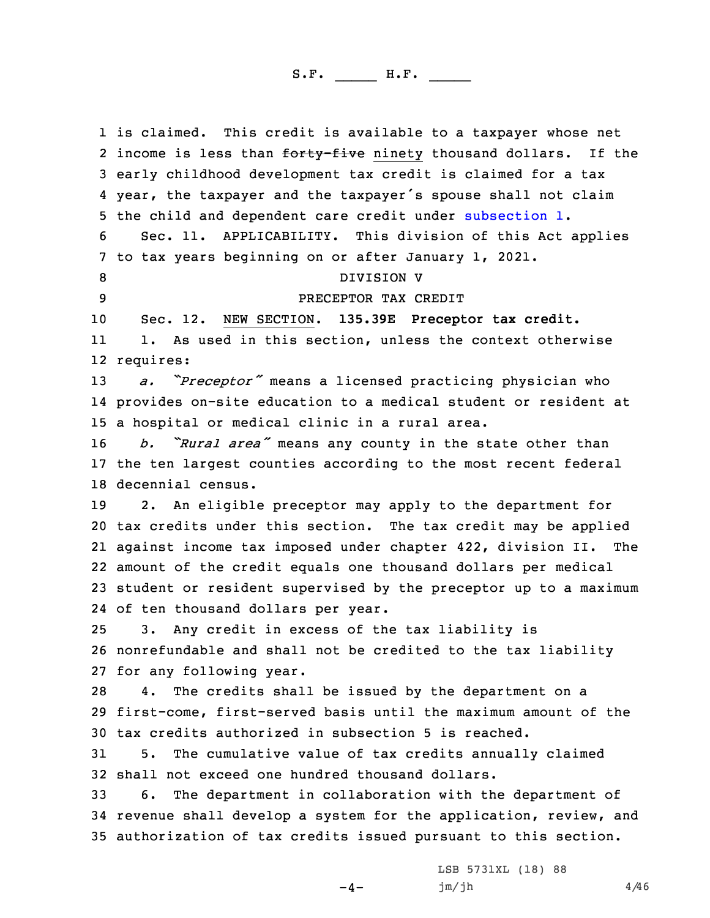is claimed. This credit is available to <sup>a</sup> taxpayer whose net 2 income is less than <del>forty-five</del> ninety thousand dollars. If the early childhood development tax credit is claimed for <sup>a</sup> tax year, the taxpayer and the taxpayer's spouse shall not claim the child and dependent care credit under [subsection](https://www.legis.iowa.gov/docs/code/2020/422.12C.pdf) 1. Sec. 11. APPLICABILITY. This division of this Act applies to tax years beginning on or after January 1, 2021. 8 DIVISION V PRECEPTOR TAX CREDIT Sec. 12. NEW SECTION. **135.39E Preceptor tax credit.** 11 1. As used in this section, unless the context otherwise requires: *a. "Preceptor"* means <sup>a</sup> licensed practicing physician who provides on-site education to <sup>a</sup> medical student or resident at <sup>a</sup> hospital or medical clinic in <sup>a</sup> rural area. *b. "Rural area"* means any county in the state other than the ten largest counties according to the most recent federal decennial census. 2. An eligible preceptor may apply to the department for tax credits under this section. The tax credit may be applied against income tax imposed under chapter 422, division II. The amount of the credit equals one thousand dollars per medical student or resident supervised by the preceptor up to <sup>a</sup> maximum of ten thousand dollars per year. 3. Any credit in excess of the tax liability is nonrefundable and shall not be credited to the tax liability for any following year. 4. The credits shall be issued by the department on <sup>a</sup> first-come, first-served basis until the maximum amount of the tax credits authorized in subsection 5 is reached. 5. The cumulative value of tax credits annually claimed shall not exceed one hundred thousand dollars. 6. The department in collaboration with the department of revenue shall develop <sup>a</sup> system for the application, review, and authorization of tax credits issued pursuant to this section.

 $-4-$ 

LSB 5731XL (18) 88  $jm/jh$  4/46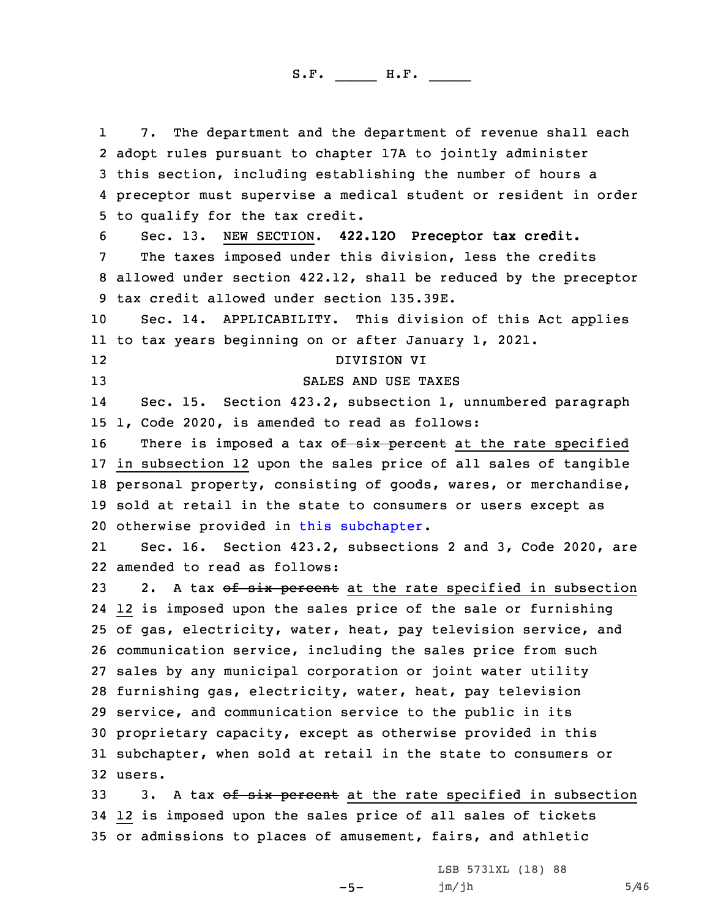1 7. The department and the department of revenue shall each adopt rules pursuant to chapter 17A to jointly administer this section, including establishing the number of hours <sup>a</sup> preceptor must supervise <sup>a</sup> medical student or resident in order to qualify for the tax credit. Sec. 13. NEW SECTION. **422.12O Preceptor tax credit.** The taxes imposed under this division, less the credits allowed under section 422.12, shall be reduced by the preceptor tax credit allowed under section 135.39E. Sec. 14. APPLICABILITY. This division of this Act applies to tax years beginning on or after January 1, 2021. 12 DIVISION VI 13 SALES AND USE TAXES 14 Sec. 15. Section 423.2, subsection 1, unnumbered paragraph 1, Code 2020, is amended to read as follows: 16 There is imposed a tax of six percent at the rate specified in subsection 12 upon the sales price of all sales of tangible personal property, consisting of goods, wares, or merchandise, sold at retail in the state to consumers or users except as otherwise provided in this [subchapter](https://www.legis.iowa.gov/docs/code/2020/423.pdf). 21 Sec. 16. Section 423.2, subsections 2 and 3, Code 2020, are amended to read as follows: 23 2. A tax of six percent at the rate specified in subsection 12 is imposed upon the sales price of the sale or furnishing of gas, electricity, water, heat, pay television service, and communication service, including the sales price from such sales by any municipal corporation or joint water utility furnishing gas, electricity, water, heat, pay television service, and communication service to the public in its proprietary capacity, except as otherwise provided in this subchapter, when sold at retail in the state to consumers or 32 users. 33 3. A tax of six percent at the rate specified in subsection 12 is imposed upon the sales price of all sales of tickets

35 or admissions to places of amusement, fairs, and athletic

 $-5-$ 

LSB 5731XL (18) 88  $jm/jh$  5/46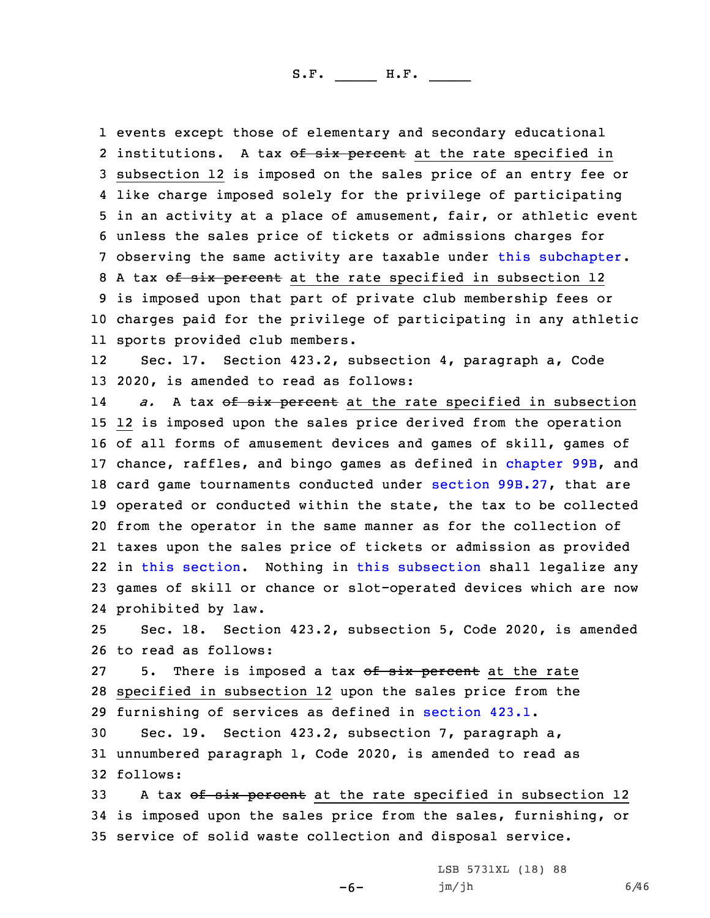events except those of elementary and secondary educational 2 institutions. A tax o<del>f six percent</del> at the rate specified in subsection 12 is imposed on the sales price of an entry fee or like charge imposed solely for the privilege of participating in an activity at <sup>a</sup> place of amusement, fair, or athletic event unless the sales price of tickets or admissions charges for observing the same activity are taxable under this [subchapter](https://www.legis.iowa.gov/docs/code/2020/423.pdf). 8 A tax of six percent at the rate specified in subsection 12 is imposed upon that part of private club membership fees or charges paid for the privilege of participating in any athletic sports provided club members.

12 Sec. 17. Section 423.2, subsection 4, paragraph a, Code 13 2020, is amended to read as follows:

14a. A tax of six percent at the rate specified in subsection 12 is imposed upon the sales price derived from the operation of all forms of amusement devices and games of skill, games of 17 chance, raffles, and bingo games as defined in [chapter](https://www.legis.iowa.gov/docs/code/2020/99B.pdf) 99B, and card game tournaments conducted under section [99B.27](https://www.legis.iowa.gov/docs/code/2020/99B.27.pdf), that are operated or conducted within the state, the tax to be collected from the operator in the same manner as for the collection of taxes upon the sales price of tickets or admission as provided in this [section](https://www.legis.iowa.gov/docs/code/2020/423.2.pdf). Nothing in this [subsection](https://www.legis.iowa.gov/docs/code/2020/423.2.pdf) shall legalize any games of skill or chance or slot-operated devices which are now prohibited by law.

25 Sec. 18. Section 423.2, subsection 5, Code 2020, is amended 26 to read as follows:

27 5. There is imposed a tax of six percent at the rate 28 specified in subsection 12 upon the sales price from the 29 furnishing of services as defined in [section](https://www.legis.iowa.gov/docs/code/2020/423.1.pdf) 423.1.

30 Sec. 19. Section 423.2, subsection 7, paragraph a, 31 unnumbered paragraph 1, Code 2020, is amended to read as 32 follows:

33 A tax of six percent at the rate specified in subsection 12 34 is imposed upon the sales price from the sales, furnishing, or 35 service of solid waste collection and disposal service.

-6-

LSB 5731XL (18) 88 jm/jh 6/46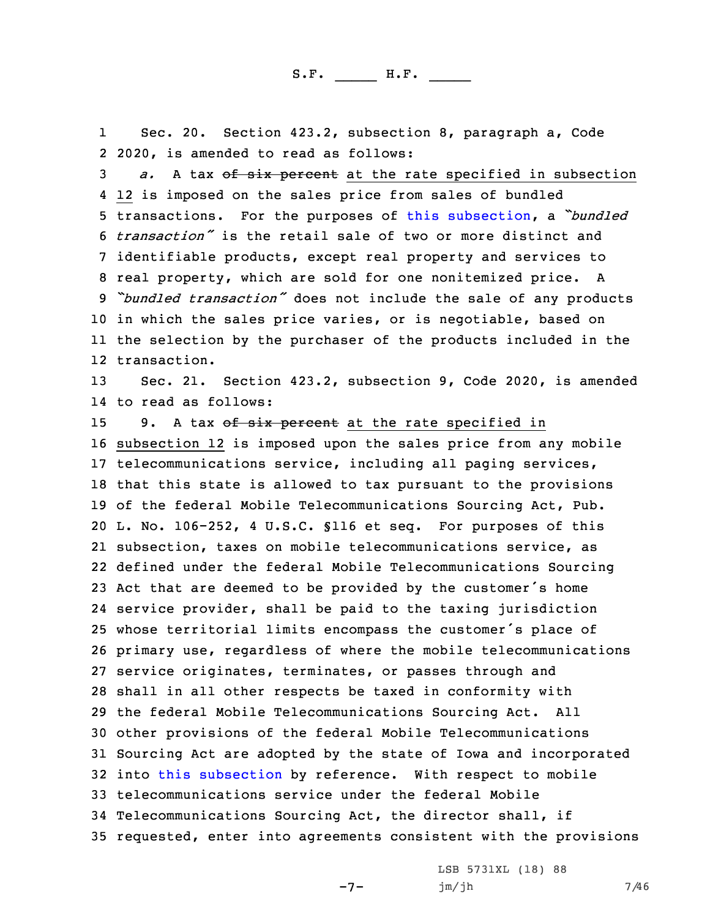1 Sec. 20. Section 423.2, subsection 8, paragraph a, Code 2 2020, is amended to read as follows:

3 a. A tax of six percent at the rate specified in subsection 12 is imposed on the sales price from sales of bundled transactions. For the purposes of this [subsection](https://www.legis.iowa.gov/docs/code/2020/423.2.pdf), <sup>a</sup> *"bundled transaction"* is the retail sale of two or more distinct and identifiable products, except real property and services to real property, which are sold for one nonitemized price. <sup>A</sup> *"bundled transaction"* does not include the sale of any products in which the sales price varies, or is negotiable, based on the selection by the purchaser of the products included in the transaction.

13 Sec. 21. Section 423.2, subsection 9, Code 2020, is amended 14 to read as follows:

15 9. A tax of six percent at the rate specified in subsection 12 is imposed upon the sales price from any mobile telecommunications service, including all paging services, that this state is allowed to tax pursuant to the provisions of the federal Mobile Telecommunications Sourcing Act, Pub. L. No. 106-252, 4 U.S.C. §116 et seq. For purposes of this subsection, taxes on mobile telecommunications service, as defined under the federal Mobile Telecommunications Sourcing Act that are deemed to be provided by the customer's home service provider, shall be paid to the taxing jurisdiction whose territorial limits encompass the customer's place of primary use, regardless of where the mobile telecommunications service originates, terminates, or passes through and shall in all other respects be taxed in conformity with the federal Mobile Telecommunications Sourcing Act. All other provisions of the federal Mobile Telecommunications Sourcing Act are adopted by the state of Iowa and incorporated into this [subsection](https://www.legis.iowa.gov/docs/code/2020/423.2.pdf) by reference. With respect to mobile telecommunications service under the federal Mobile Telecommunications Sourcing Act, the director shall, if requested, enter into agreements consistent with the provisions

 $-7-$ 

LSB 5731XL (18) 88 jm/jh 7/46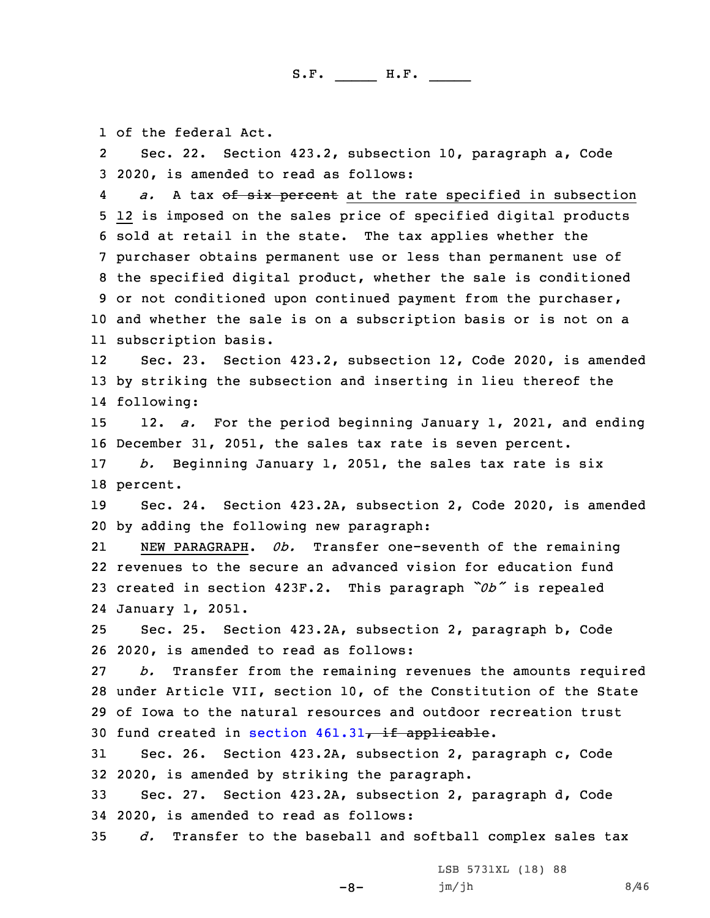1 of the federal Act.

2 Sec. 22. Section 423.2, subsection 10, paragraph a, Code 3 2020, is amended to read as follows:

4a. A tax of six percent at the rate specified in subsection 12 is imposed on the sales price of specified digital products sold at retail in the state. The tax applies whether the purchaser obtains permanent use or less than permanent use of the specified digital product, whether the sale is conditioned or not conditioned upon continued payment from the purchaser, and whether the sale is on <sup>a</sup> subscription basis or is not on <sup>a</sup> subscription basis.

12 Sec. 23. Section 423.2, subsection 12, Code 2020, is amended 13 by striking the subsection and inserting in lieu thereof the 14 following:

15 12. *a.* For the period beginning January 1, 2021, and ending 16 December 31, 2051, the sales tax rate is seven percent.

17 *b.* Beginning January 1, 2051, the sales tax rate is six 18 percent.

19 Sec. 24. Section 423.2A, subsection 2, Code 2020, is amended 20 by adding the following new paragraph:

21 NEW PARAGRAPH. *0b.* Transfer one-seventh of the remaining 22 revenues to the secure an advanced vision for education fund <sup>23</sup> created in section 423F.2. This paragraph *"0b"* is repealed 24 January 1, 2051.

25 Sec. 25. Section 423.2A, subsection 2, paragraph b, Code 26 2020, is amended to read as follows:

 *b.* Transfer from the remaining revenues the amounts required under Article VII, section 10, of the Constitution of the State of Iowa to the natural resources and outdoor recreation trust 30 fund created in [section](https://www.legis.iowa.gov/docs/code/2020/461.31.pdf)  $461.31$ , if applicable.

31 Sec. 26. Section 423.2A, subsection 2, paragraph c, Code 32 2020, is amended by striking the paragraph.

33 Sec. 27. Section 423.2A, subsection 2, paragraph d, Code 34 2020, is amended to read as follows:

35 *d.* Transfer to the baseball and softball complex sales tax

-8-

LSB 5731XL (18) 88  $jm/jh$  8/46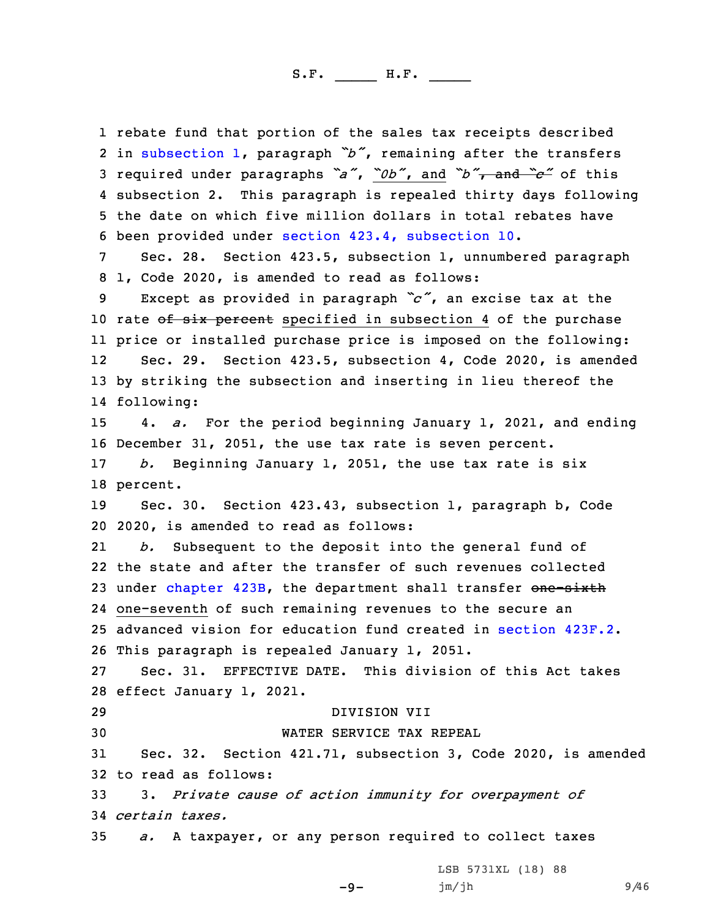rebate fund that portion of the sales tax receipts described in [subsection](https://www.legis.iowa.gov/docs/code/2020/423.2A.pdf) 1, paragraph *"b"*, remaining after the transfers required under paragraphs *"a"*, *"0b"*, and *"b"*, and *"c"* of this 4 subsection 2. This paragraph is repealed thirty days following the date on which five million dollars in total rebates have been provided under section 423.4, [subsection](https://www.legis.iowa.gov/docs/code/2020/423.4.pdf) 10. Sec. 28. Section 423.5, subsection 1, unnumbered paragraph 1, Code 2020, is amended to read as follows: Except as provided in paragraph *"c"*, an excise tax at the 10 rate of six percent specified in subsection 4 of the purchase price or installed purchase price is imposed on the following: 12 Sec. 29. Section 423.5, subsection 4, Code 2020, is amended by striking the subsection and inserting in lieu thereof the following: 4. *a.* For the period beginning January 1, 2021, and ending December 31, 2051, the use tax rate is seven percent. *b.* Beginning January 1, 2051, the use tax rate is six 18 percent. Sec. 30. Section 423.43, subsection 1, paragraph b, Code 2020, is amended to read as follows: 21 *b.* Subsequent to the deposit into the general fund of the state and after the transfer of such revenues collected 23 under [chapter](https://www.legis.iowa.gov/docs/code/2020/423B.pdf) 423B, the department shall transfer one-sixth one-seventh of such remaining revenues to the secure an advanced vision for education fund created in [section](https://www.legis.iowa.gov/docs/code/2020/423F.2.pdf) 423F.2. This paragraph is repealed January 1, 2051. Sec. 31. EFFECTIVE DATE. This division of this Act takes effect January 1, 2021. DIVISION VII WATER SERVICE TAX REPEAL Sec. 32. Section 421.71, subsection 3, Code 2020, is amended to read as follows: 3. *Private cause of action immunity for overpayment of certain taxes. a.* <sup>A</sup> taxpayer, or any person required to collect taxes

-9-

jm/jh 9/46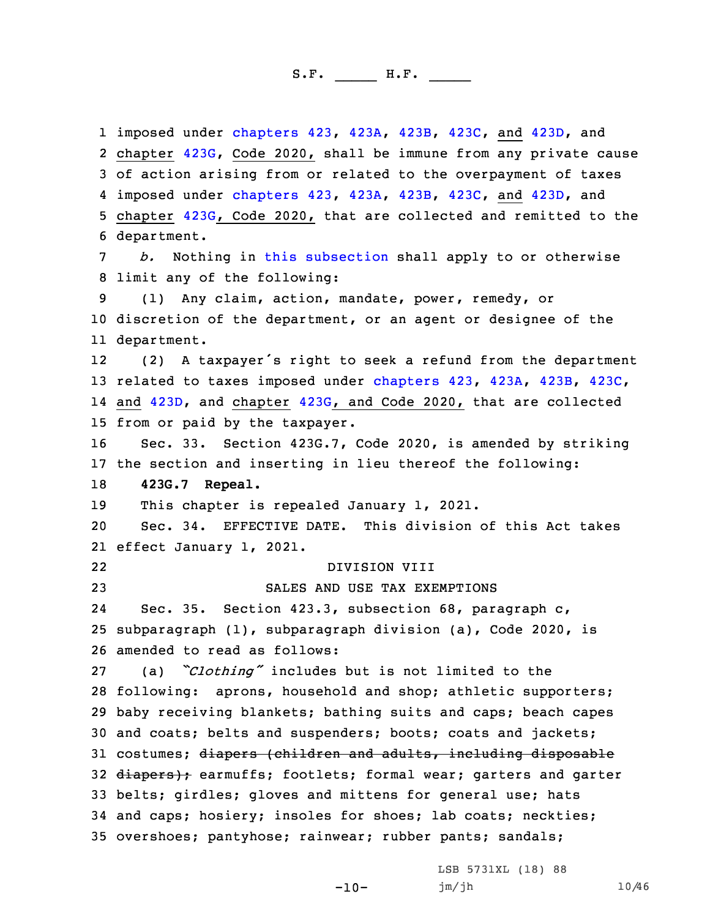imposed under [chapters](https://www.legis.iowa.gov/docs/code/2020/423.pdf) 423, [423A](https://www.legis.iowa.gov/docs/code/2020/423A.pdf), [423B](https://www.legis.iowa.gov/docs/code/2020/423B.pdf), [423C](https://www.legis.iowa.gov/docs/code/2020/423C.pdf), and [423D](https://www.legis.iowa.gov/docs/code/2020/423D.pdf), and chapter [423G](https://www.legis.iowa.gov/docs/code/2020/423G.pdf), Code 2020, shall be immune from any private cause of action arising from or related to the overpayment of taxes imposed under [chapters](https://www.legis.iowa.gov/docs/code/2020/423.pdf) 423, [423A](https://www.legis.iowa.gov/docs/code/2020/423A.pdf), [423B](https://www.legis.iowa.gov/docs/code/2020/423B.pdf), [423C](https://www.legis.iowa.gov/docs/code/2020/423C.pdf), and [423D](https://www.legis.iowa.gov/docs/code/2020/423D.pdf), and chapter [423G](https://www.legis.iowa.gov/docs/code/2020/423G.pdf), Code 2020, that are collected and remitted to the department. *b.* Nothing in this [subsection](https://www.legis.iowa.gov/docs/code/2020/421.71.pdf) shall apply to or otherwise limit any of the following: (1) Any claim, action, mandate, power, remedy, or discretion of the department, or an agent or designee of the department. 12 (2) <sup>A</sup> taxpayer's right to seek <sup>a</sup> refund from the department related to taxes imposed under [chapters](https://www.legis.iowa.gov/docs/code/2020/423.pdf) 423, [423A](https://www.legis.iowa.gov/docs/code/2020/423A.pdf), [423B](https://www.legis.iowa.gov/docs/code/2020/423B.pdf), [423C](https://www.legis.iowa.gov/docs/code/2020/423C.pdf), and [423D](https://www.legis.iowa.gov/docs/code/2020/423D.pdf), and chapter [423G](https://www.legis.iowa.gov/docs/code/2020/423G.pdf), and Code 2020, that are collected from or paid by the taxpayer. Sec. 33. Section 423G.7, Code 2020, is amended by striking the section and inserting in lieu thereof the following: **423G.7 Repeal.** 19 This chapter is repealed January 1, 2021. Sec. 34. EFFECTIVE DATE. This division of this Act takes effect January 1, 2021. 22 DIVISION VIII SALES AND USE TAX EXEMPTIONS 24 Sec. 35. Section 423.3, subsection 68, paragraph c, subparagraph (1), subparagraph division (a), Code 2020, is amended to read as follows: (a) *"Clothing"* includes but is not limited to the following: aprons, household and shop; athletic supporters; baby receiving blankets; bathing suits and caps; beach capes and coats; belts and suspenders; boots; coats and jackets; 31 costumes; diapers (children and adults, including disposable 32 diapers); earmuffs; footlets; formal wear; garters and garter belts; girdles; gloves and mittens for general use; hats and caps; hosiery; insoles for shoes; lab coats; neckties; overshoes; pantyhose; rainwear; rubber pants; sandals;

-10-

LSB 5731XL (18) 88 jm/jh 10/46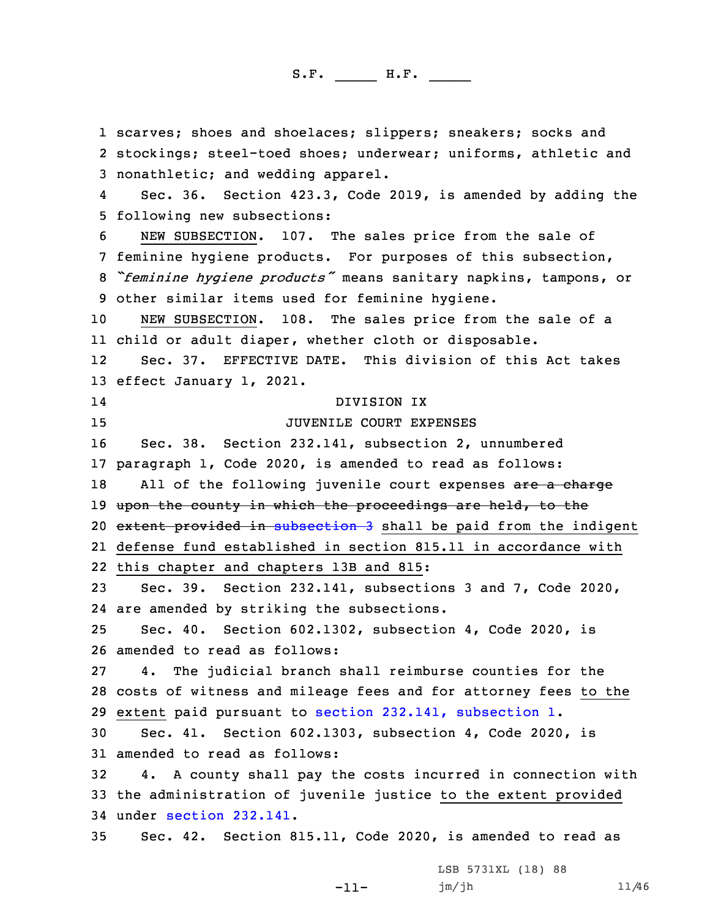scarves; shoes and shoelaces; slippers; sneakers; socks and stockings; steel-toed shoes; underwear; uniforms, athletic and nonathletic; and wedding apparel. 4 Sec. 36. Section 423.3, Code 2019, is amended by adding the following new subsections: NEW SUBSECTION. 107. The sales price from the sale of feminine hygiene products. For purposes of this subsection, *"feminine hygiene products"* means sanitary napkins, tampons, or other similar items used for feminine hygiene. NEW SUBSECTION. 108. The sales price from the sale of <sup>a</sup> child or adult diaper, whether cloth or disposable. 12 Sec. 37. EFFECTIVE DATE. This division of this Act takes effect January 1, 2021. 14 DIVISION IX 15 JUVENILE COURT EXPENSES Sec. 38. Section 232.141, subsection 2, unnumbered paragraph 1, Code 2020, is amended to read as follows: 18 All of the following juvenile court expenses are a charge 19 upon the county in which the proceedings are held, to the 20 extent provided in [subsection](https://www.legis.iowa.gov/docs/code/2020/232.141.pdf) 3 shall be paid from the indigent defense fund established in section 815.11 in accordance with this chapter and chapters 13B and 815: Sec. 39. Section 232.141, subsections 3 and 7, Code 2020, are amended by striking the subsections. Sec. 40. Section 602.1302, subsection 4, Code 2020, is amended to read as follows: 4. The judicial branch shall reimburse counties for the costs of witness and mileage fees and for attorney fees to the extent paid pursuant to section 232.141, [subsection](https://www.legis.iowa.gov/docs/code/2020/232.141.pdf) 1. Sec. 41. Section 602.1303, subsection 4, Code 2020, is amended to read as follows: 4. <sup>A</sup> county shall pay the costs incurred in connection with the administration of juvenile justice to the extent provided under section [232.141](https://www.legis.iowa.gov/docs/code/2020/232.141.pdf). Sec. 42. Section 815.11, Code 2020, is amended to read as LSB 5731XL (18) 88

-11-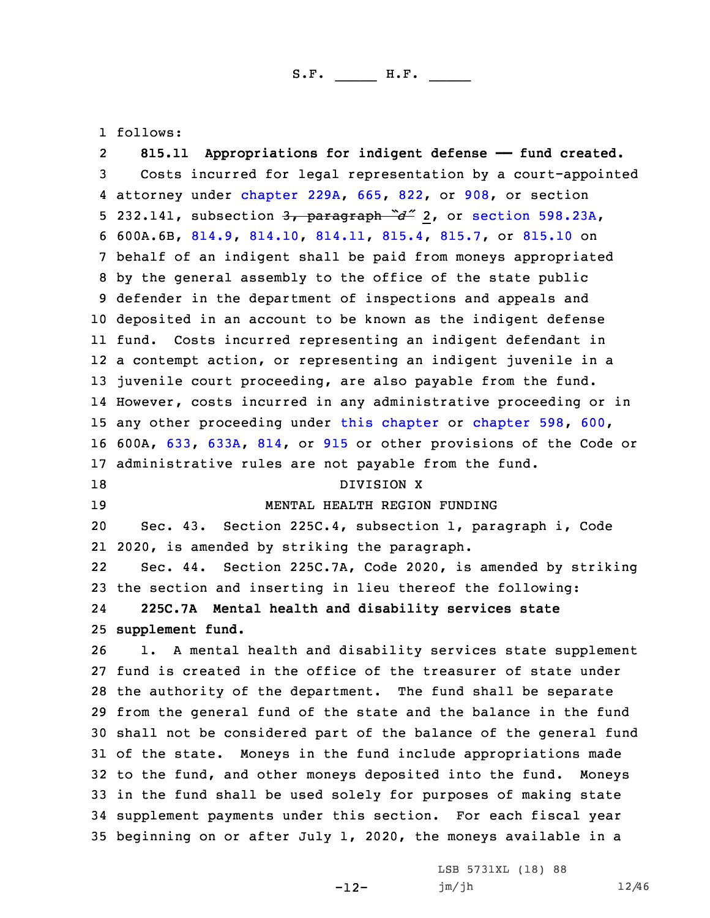1 follows:

2 **815.11 Appropriations for indigent defense —— fund created.** Costs incurred for legal representation by <sup>a</sup> court-appointed attorney under [chapter](https://www.legis.iowa.gov/docs/code/2020/229A.pdf) 229A, [665](https://www.legis.iowa.gov/docs/code/2020/665.pdf), [822](https://www.legis.iowa.gov/docs/code/2020/822.pdf), or [908](https://www.legis.iowa.gov/docs/code/2020/908.pdf), or section 232.141, subsection 3, paragraph *"d"* 2, or section [598.23A](https://www.legis.iowa.gov/docs/code/2020/598.23A.pdf), 600A.6B, [814.9](https://www.legis.iowa.gov/docs/code/2020/814.9.pdf), [814.10](https://www.legis.iowa.gov/docs/code/2020/814.10.pdf), [814.11](https://www.legis.iowa.gov/docs/code/2020/814.11.pdf), [815.4](https://www.legis.iowa.gov/docs/code/2020/815.4.pdf), [815.7](https://www.legis.iowa.gov/docs/code/2020/815.7.pdf), or [815.10](https://www.legis.iowa.gov/docs/code/2020/815.10.pdf) on behalf of an indigent shall be paid from moneys appropriated by the general assembly to the office of the state public defender in the department of inspections and appeals and deposited in an account to be known as the indigent defense fund. Costs incurred representing an indigent defendant in <sup>a</sup> contempt action, or representing an indigent juvenile in <sup>a</sup> juvenile court proceeding, are also payable from the fund. However, costs incurred in any administrative proceeding or in 15 any other proceeding under this [chapter](https://www.legis.iowa.gov/docs/code/2020/598.pdf) or chapter 598, [600](https://www.legis.iowa.gov/docs/code/2020/600.pdf), 600A, [633](https://www.legis.iowa.gov/docs/code/2020/633.pdf), [633A](https://www.legis.iowa.gov/docs/code/2020/633A.pdf), [814](https://www.legis.iowa.gov/docs/code/2020/814.pdf), or [915](https://www.legis.iowa.gov/docs/code/2020/915.pdf) or other provisions of the Code or administrative rules are not payable from the fund. 18 DIVISION X MENTAL HEALTH REGION FUNDING Sec. 43. Section 225C.4, subsection 1, paragraph i, Code 2020, is amended by striking the paragraph. 22 Sec. 44. Section 225C.7A, Code 2020, is amended by striking the section and inserting in lieu thereof the following: 24 **225C.7A Mental health and disability services state supplement fund.** 1. <sup>A</sup> mental health and disability services state supplement fund is created in the office of the treasurer of state under the authority of the department. The fund shall be separate from the general fund of the state and the balance in the fund shall not be considered part of the balance of the general fund of the state. Moneys in the fund include appropriations made to the fund, and other moneys deposited into the fund. Moneys in the fund shall be used solely for purposes of making state supplement payments under this section. For each fiscal year beginning on or after July 1, 2020, the moneys available in <sup>a</sup>

-12-

LSB 5731XL (18) 88 jm/jh 12/46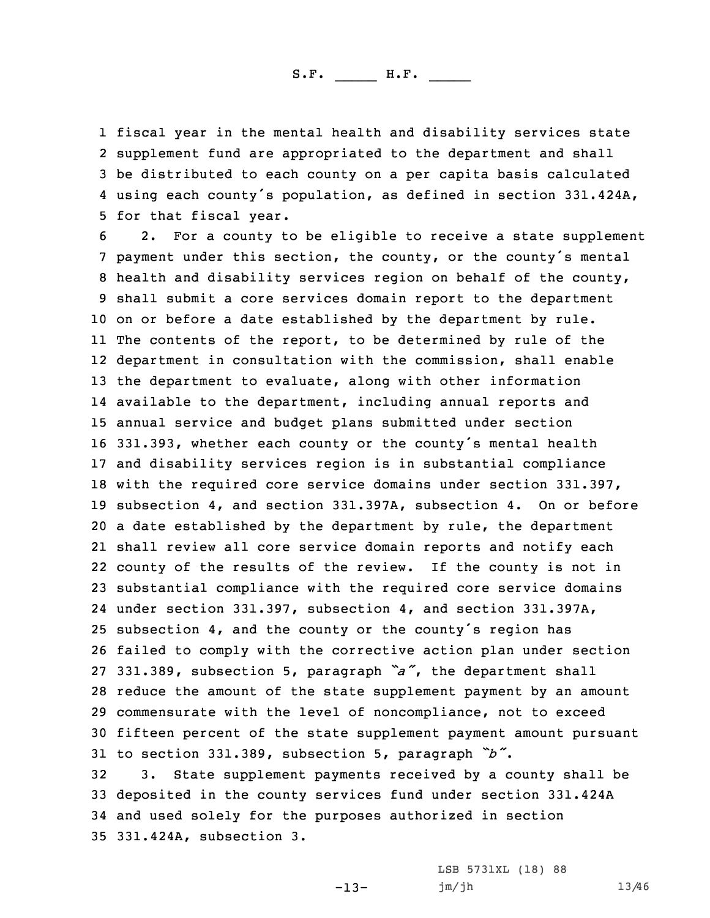fiscal year in the mental health and disability services state supplement fund are appropriated to the department and shall be distributed to each county on <sup>a</sup> per capita basis calculated using each county's population, as defined in section 331.424A, for that fiscal year.

 2. For <sup>a</sup> county to be eligible to receive <sup>a</sup> state supplement payment under this section, the county, or the county's mental health and disability services region on behalf of the county, shall submit <sup>a</sup> core services domain report to the department on or before <sup>a</sup> date established by the department by rule. The contents of the report, to be determined by rule of the department in consultation with the commission, shall enable the department to evaluate, along with other information available to the department, including annual reports and annual service and budget plans submitted under section 331.393, whether each county or the county's mental health and disability services region is in substantial compliance with the required core service domains under section 331.397, subsection 4, and section 331.397A, subsection 4. On or before <sup>a</sup> date established by the department by rule, the department shall review all core service domain reports and notify each county of the results of the review. If the county is not in substantial compliance with the required core service domains under section 331.397, subsection 4, and section 331.397A, subsection 4, and the county or the county's region has failed to comply with the corrective action plan under section 331.389, subsection 5, paragraph *"a"*, the department shall reduce the amount of the state supplement payment by an amount commensurate with the level of noncompliance, not to exceed fifteen percent of the state supplement payment amount pursuant to section 331.389, subsection 5, paragraph *"b"*.

 3. State supplement payments received by <sup>a</sup> county shall be deposited in the county services fund under section 331.424A and used solely for the purposes authorized in section 331.424A, subsection 3.

-13-

LSB 5731XL (18) 88 jm/jh 13/46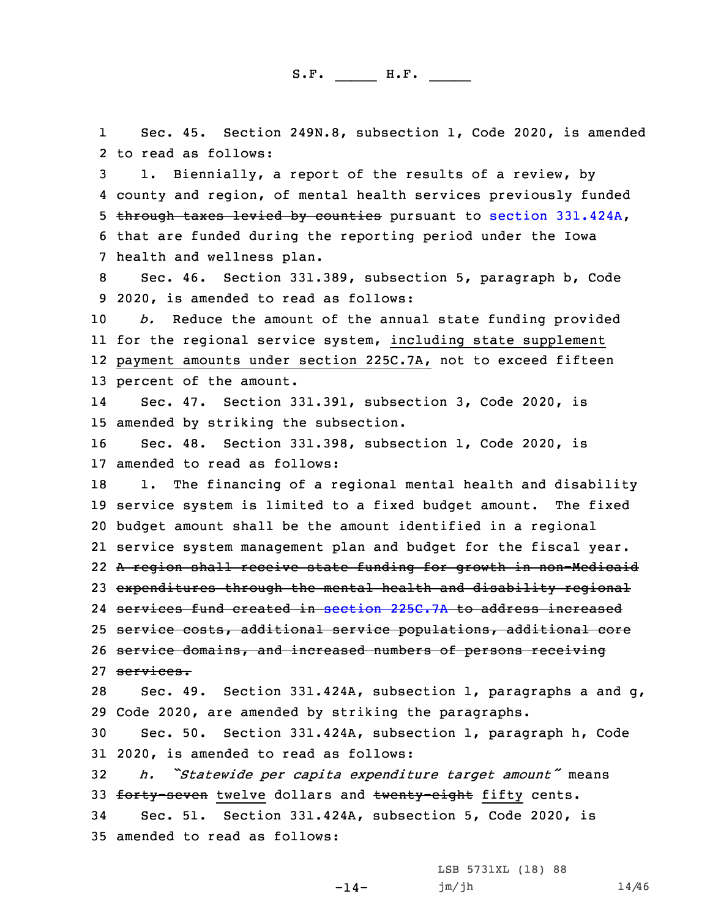1 Sec. 45. Section 249N.8, subsection 1, Code 2020, is amended 2 to read as follows:

 1. Biennially, <sup>a</sup> report of the results of <sup>a</sup> review, by county and region, of mental health services previously funded through taxes levied by counties pursuant to section [331.424A](https://www.legis.iowa.gov/docs/code/2020/331.424A.pdf), that are funded during the reporting period under the Iowa health and wellness plan.

8 Sec. 46. Section 331.389, subsection 5, paragraph b, Code 9 2020, is amended to read as follows:

 *b.* Reduce the amount of the annual state funding provided for the regional service system, including state supplement payment amounts under section 225C.7A, not to exceed fifteen percent of the amount.

14 Sec. 47. Section 331.391, subsection 3, Code 2020, is 15 amended by striking the subsection.

16 Sec. 48. Section 331.398, subsection 1, Code 2020, is 17 amended to read as follows:

18 1. The financing of a regional mental health and disability service system is limited to <sup>a</sup> fixed budget amount. The fixed budget amount shall be the amount identified in <sup>a</sup> regional service system management plan and budget for the fiscal year. <sup>A</sup> region shall receive state funding for growth in non-Medicaid expenditures through the mental health and disability regional services fund created in section [225C.7A](https://www.legis.iowa.gov/docs/code/2020/225C.7A.pdf) to address increased service costs, additional service populations, additional core 26 service domains, and increased numbers of persons receiving services.

28 Sec. 49. Section 331.424A, subsection 1, paragraphs <sup>a</sup> and g, 29 Code 2020, are amended by striking the paragraphs.

30 Sec. 50. Section 331.424A, subsection 1, paragraph h, Code 31 2020, is amended to read as follows:

 $-14-$ 

<sup>32</sup> *h. "Statewide per capita expenditure target amount"* means 33 forty-seven twelve dollars and twenty-eight fifty cents.

34 Sec. 51. Section 331.424A, subsection 5, Code 2020, is 35 amended to read as follows:

> LSB 5731XL (18) 88 jm/jh 14/46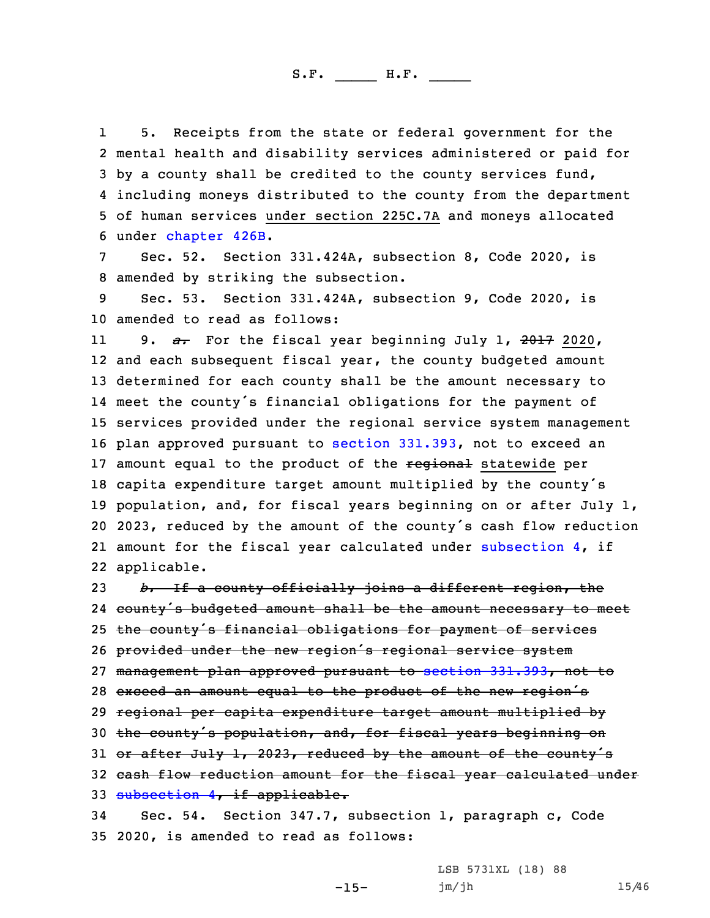1 5. Receipts from the state or federal government for the mental health and disability services administered or paid for by <sup>a</sup> county shall be credited to the county services fund, including moneys distributed to the county from the department of human services under section 225C.7A and moneys allocated under [chapter](https://www.legis.iowa.gov/docs/code/2020/426B.pdf) 426B.

7 Sec. 52. Section 331.424A, subsection 8, Code 2020, is 8 amended by striking the subsection.

9 Sec. 53. Section 331.424A, subsection 9, Code 2020, is 10 amended to read as follows:

11 9. *a.* For the fiscal year beginning July 1, 2017 2020, and each subsequent fiscal year, the county budgeted amount determined for each county shall be the amount necessary to meet the county's financial obligations for the payment of services provided under the regional service system management plan approved pursuant to section [331.393](https://www.legis.iowa.gov/docs/code/2020/331.393.pdf), not to exceed an 17 amount equal to the product of the regional statewide per capita expenditure target amount multiplied by the county's population, and, for fiscal years beginning on or after July 1, 2023, reduced by the amount of the county's cash flow reduction amount for the fiscal year calculated under [subsection](https://www.legis.iowa.gov/docs/code/2020/331.424A.pdf) 4, if applicable.

23 *b.* If <sup>a</sup> county officially joins <sup>a</sup> different region, the 24 county's budgeted amount shall be the amount necessary to meet 25 the county's financial obligations for payment of services <sup>26</sup> provided under the new region's regional service system 27 management plan approved pursuant to section [331.393](https://www.legis.iowa.gov/docs/code/2020/331.393.pdf), not to 28 exceed an amount equal to the product of the new region's 29 regional per capita expenditure target amount multiplied by 30 the county's population, and, for fiscal years beginning on 31 or after July 1, 2023, reduced by the amount of the county's 32 cash flow reduction amount for the fiscal year calculated under 33 [subsection](https://www.legis.iowa.gov/docs/code/2020/331.424A.pdf) 4, if applicable. 34 Sec. 54. Section 347.7, subsection 1, paragraph c, Code

35 2020, is amended to read as follows:

-15-

LSB 5731XL (18) 88 jm/jh 15/46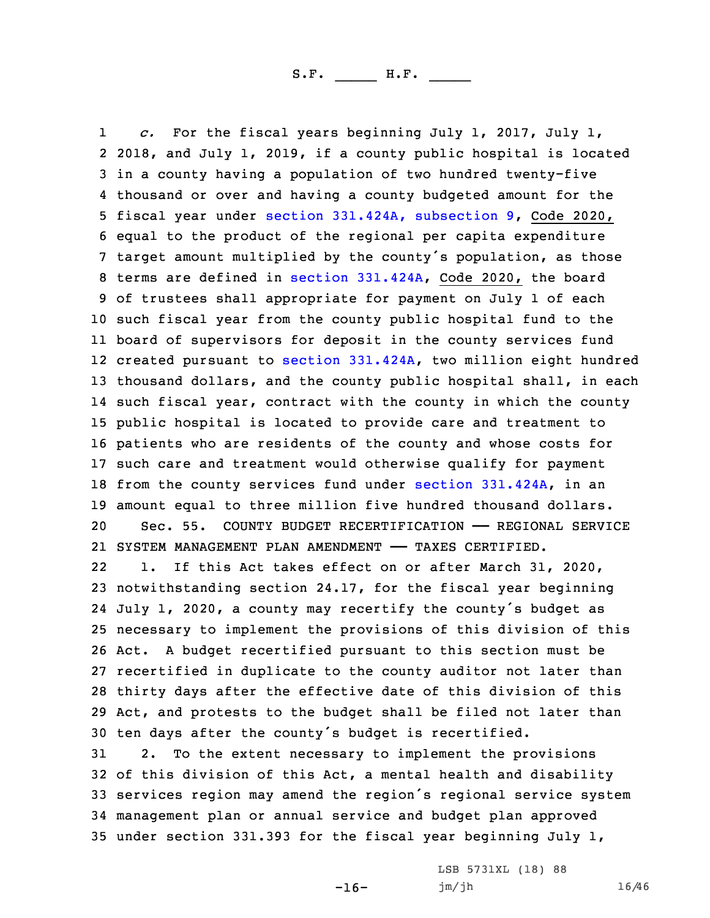1 *c.* For the fiscal years beginning July 1, 2017, July 1, 2018, and July 1, 2019, if <sup>a</sup> county public hospital is located in <sup>a</sup> county having <sup>a</sup> population of two hundred twenty-five thousand or over and having <sup>a</sup> county budgeted amount for the fiscal year under section [331.424A,](https://www.legis.iowa.gov/docs/code/2020/331.424A.pdf) subsection 9, Code 2020, equal to the product of the regional per capita expenditure target amount multiplied by the county's population, as those terms are defined in section [331.424A](https://www.legis.iowa.gov/docs/code/2020/331.424A.pdf), Code 2020, the board of trustees shall appropriate for payment on July 1 of each such fiscal year from the county public hospital fund to the board of supervisors for deposit in the county services fund created pursuant to section [331.424A](https://www.legis.iowa.gov/docs/code/2020/331.424A.pdf), two million eight hundred thousand dollars, and the county public hospital shall, in each such fiscal year, contract with the county in which the county public hospital is located to provide care and treatment to patients who are residents of the county and whose costs for such care and treatment would otherwise qualify for payment 18 from the county services fund under section [331.424A](https://www.legis.iowa.gov/docs/code/2020/331.424A.pdf), in an amount equal to three million five hundred thousand dollars. Sec. 55. COUNTY BUDGET RECERTIFICATION —— REGIONAL SERVICE SYSTEM MANAGEMENT PLAN AMENDMENT —— TAXES CERTIFIED.

22 1. If this Act takes effect on or after March 31, 2020, notwithstanding section 24.17, for the fiscal year beginning July 1, 2020, <sup>a</sup> county may recertify the county's budget as necessary to implement the provisions of this division of this Act. <sup>A</sup> budget recertified pursuant to this section must be recertified in duplicate to the county auditor not later than thirty days after the effective date of this division of this Act, and protests to the budget shall be filed not later than ten days after the county's budget is recertified.

 2. To the extent necessary to implement the provisions of this division of this Act, <sup>a</sup> mental health and disability services region may amend the region's regional service system management plan or annual service and budget plan approved under section 331.393 for the fiscal year beginning July 1,

 $-16-$ 

LSB 5731XL (18) 88 jm/jh 16/46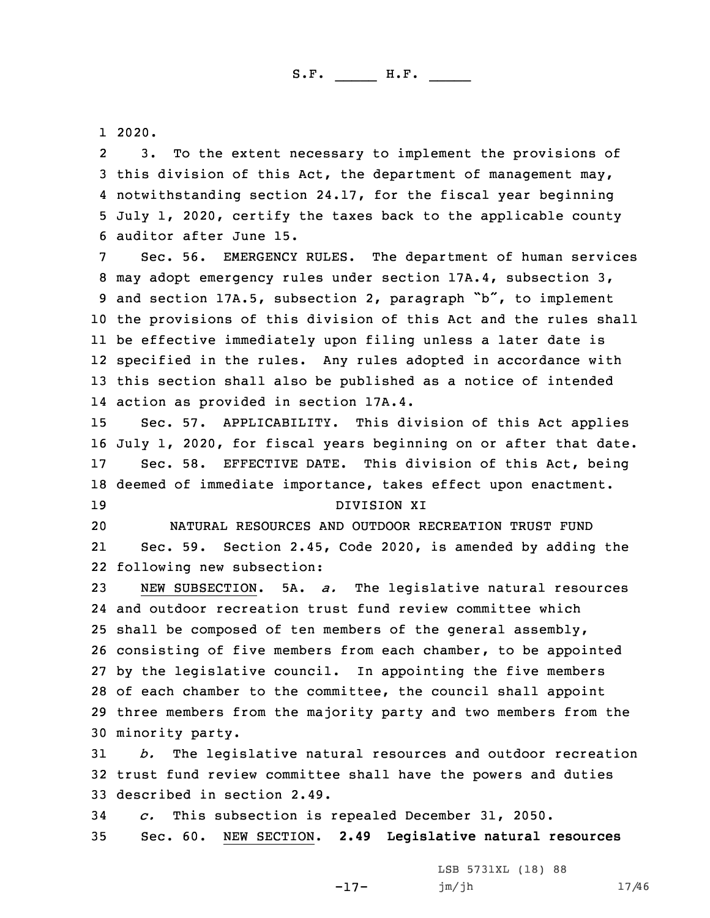1 2020.

2 3. To the extent necessary to implement the provisions of this division of this Act, the department of management may, notwithstanding section 24.17, for the fiscal year beginning July 1, 2020, certify the taxes back to the applicable county auditor after June 15.

Sec. 56. EMERGENCY RULES. The department of human services may adopt emergency rules under section 17A.4, subsection 3, and section 17A.5, subsection 2, paragraph "b", to implement the provisions of this division of this Act and the rules shall be effective immediately upon filing unless <sup>a</sup> later date is specified in the rules. Any rules adopted in accordance with this section shall also be published as <sup>a</sup> notice of intended action as provided in section 17A.4.

 Sec. 57. APPLICABILITY. This division of this Act applies July 1, 2020, for fiscal years beginning on or after that date. Sec. 58. EFFECTIVE DATE. This division of this Act, being deemed of immediate importance, takes effect upon enactment. DIVISION XI

20 NATURAL RESOURCES AND OUTDOOR RECREATION TRUST FUND 21 Sec. 59. Section 2.45, Code 2020, is amended by adding the 22 following new subsection:

 NEW SUBSECTION. 5A. *a.* The legislative natural resources and outdoor recreation trust fund review committee which 25 shall be composed of ten members of the general assembly, consisting of five members from each chamber, to be appointed by the legislative council. In appointing the five members of each chamber to the committee, the council shall appoint three members from the majority party and two members from the minority party.

31 *b.* The legislative natural resources and outdoor recreation 32 trust fund review committee shall have the powers and duties 33 described in section 2.49.

34 *c.* This subsection is repealed December 31, 2050. 35 Sec. 60. NEW SECTION. **2.49 Legislative natural resources**

-17-

LSB 5731XL (18) 88 jm/jh 17/46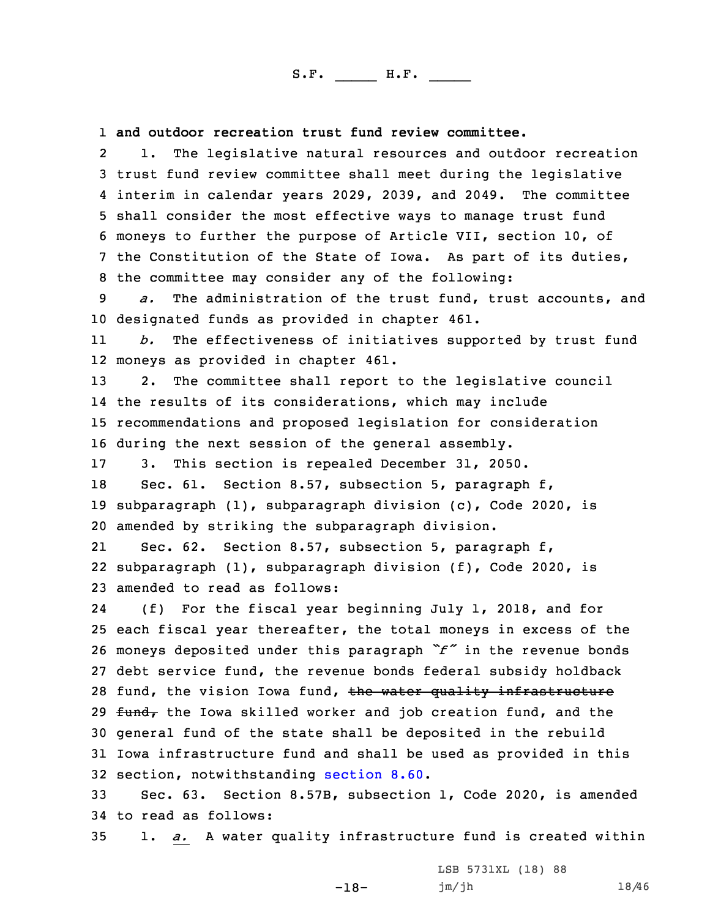1 **and outdoor recreation trust fund review committee.**

2 1. The legislative natural resources and outdoor recreation trust fund review committee shall meet during the legislative interim in calendar years 2029, 2039, and 2049. The committee shall consider the most effective ways to manage trust fund moneys to further the purpose of Article VII, section 10, of the Constitution of the State of Iowa. As part of its duties, the committee may consider any of the following:

9 *a.* The administration of the trust fund, trust accounts, and 10 designated funds as provided in chapter 461.

11 *b.* The effectiveness of initiatives supported by trust fund 12 moneys as provided in chapter 461.

 2. The committee shall report to the legislative council the results of its considerations, which may include recommendations and proposed legislation for consideration during the next session of the general assembly.

17 3. This section is repealed December 31, 2050.

18 Sec. 61. Section 8.57, subsection 5, paragraph f, 19 subparagraph (1), subparagraph division (c), Code 2020, is 20 amended by striking the subparagraph division.

21 Sec. 62. Section 8.57, subsection 5, paragraph f, 22 subparagraph (1), subparagraph division (f), Code 2020, is 23 amended to read as follows:

24 (f) For the fiscal year beginning July 1, 2018, and for each fiscal year thereafter, the total moneys in excess of the moneys deposited under this paragraph *"f"* in the revenue bonds debt service fund, the revenue bonds federal subsidy holdback 28 fund, the vision Iowa fund, the water quality infrastructure  $f$ und, the Iowa skilled worker and job creation fund, and the general fund of the state shall be deposited in the rebuild Iowa infrastructure fund and shall be used as provided in this section, notwithstanding [section](https://www.legis.iowa.gov/docs/code/2020/8.60.pdf) 8.60.

33 Sec. 63. Section 8.57B, subsection 1, Code 2020, is amended 34 to read as follows:

35 1. *a.* <sup>A</sup> water quality infrastructure fund is created within

-18-

LSB 5731XL (18) 88 jm/jh 18/46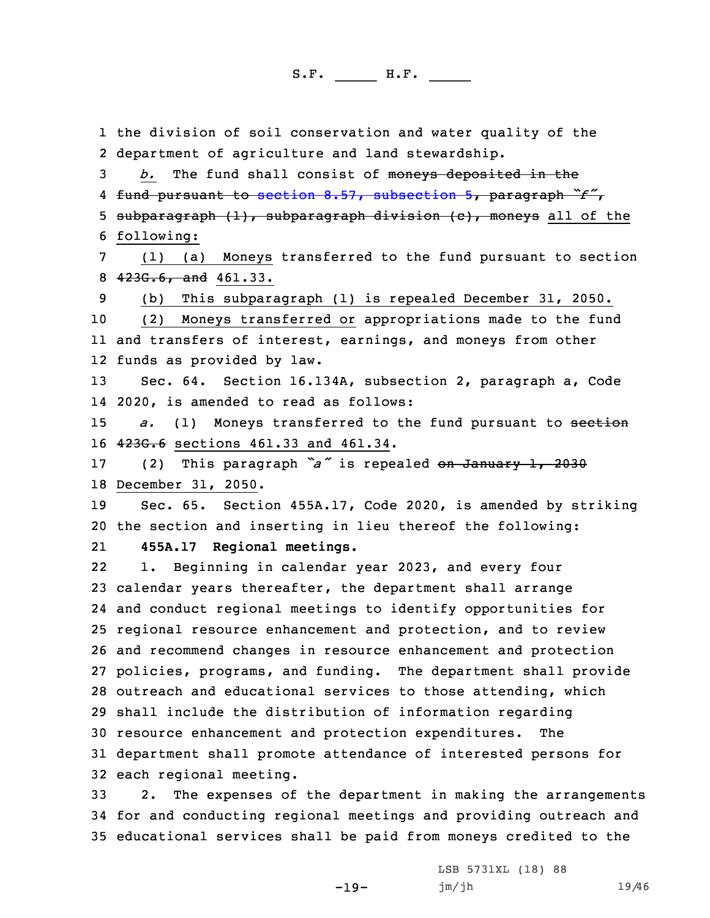1 the division of soil conservation and water quality of the 2 department of agriculture and land stewardship.

*b.* The fund shall consist of moneys deposited in the fund pursuant to section 8.57, [subsection](https://www.legis.iowa.gov/docs/code/2020/8.57.pdf) 5, paragraph *"f"*, 5 subparagraph (1), subparagraph division (c), moneys all of the following:

7 (1) (a) Moneys transferred to the fund pursuant to section 8  $423G.6$ , and  $461.33$ .

9 (b) This subparagraph (1) is repealed December 31, 2050.

10 (2) Moneys transferred or appropriations made to the fund 11 and transfers of interest, earnings, and moneys from other 12 funds as provided by law.

13 Sec. 64. Section 16.134A, subsection 2, paragraph a, Code 14 2020, is amended to read as follows:

15 *a.* (1) Moneys transferred to the fund pursuant to section 16 423G.6 sections 461.33 and 461.34.

<sup>17</sup> (2) This paragraph *"a"* is repealed on January 1, <sup>2030</sup> 18 December 31, 2050.

19 Sec. 65. Section 455A.17, Code 2020, is amended by striking 20 the section and inserting in lieu thereof the following:

21**455A.17 Regional meetings.**

22 1. Beginning in calendar year 2023, and every four calendar years thereafter, the department shall arrange and conduct regional meetings to identify opportunities for regional resource enhancement and protection, and to review and recommend changes in resource enhancement and protection policies, programs, and funding. The department shall provide outreach and educational services to those attending, which shall include the distribution of information regarding resource enhancement and protection expenditures. The department shall promote attendance of interested persons for each regional meeting.

33 2. The expenses of the department in making the arrangements 34 for and conducting regional meetings and providing outreach and 35 educational services shall be paid from moneys credited to the

-19-

LSB 5731XL (18) 88 jm/jh 19/46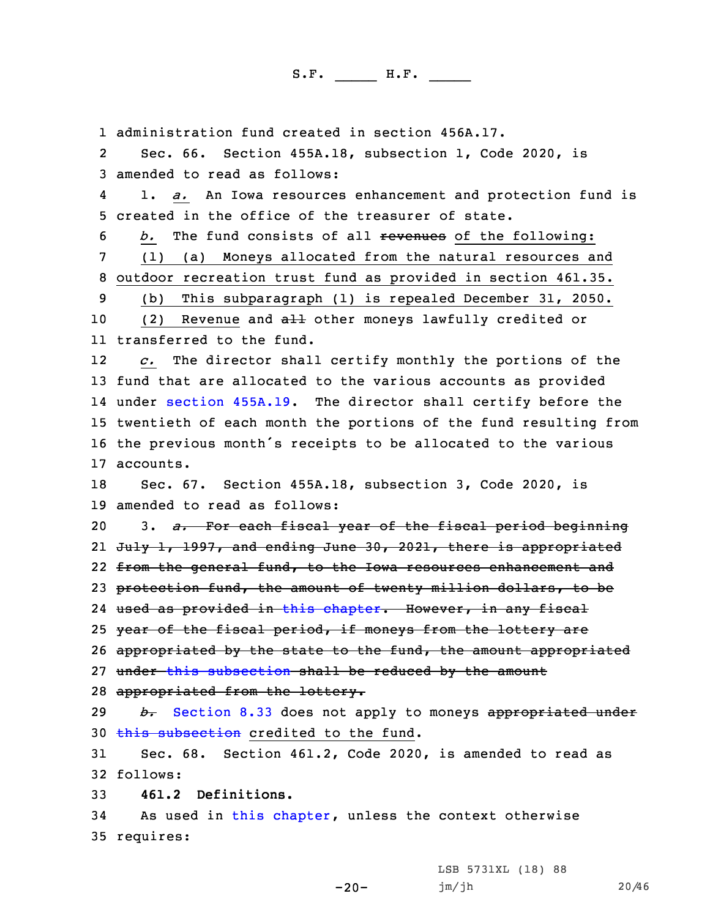administration fund created in section 456A.17. 2 Sec. 66. Section 455A.18, subsection 1, Code 2020, is amended to read as follows: 4 1. *a.* An Iowa resources enhancement and protection fund is created in the office of the treasurer of state. *b.* The fund consists of all revenues of the following: (1) (a) Moneys allocated from the natural resources and outdoor recreation trust fund as provided in section 461.35. (b) This subparagraph (1) is repealed December 31, 2050. 10 (2) Revenue and all other moneys lawfully credited or transferred to the fund. 12 *c.* The director shall certify monthly the portions of the fund that are allocated to the various accounts as provided under section [455A.19](https://www.legis.iowa.gov/docs/code/2020/455A.19.pdf). The director shall certify before the twentieth of each month the portions of the fund resulting from the previous month's receipts to be allocated to the various accounts. Sec. 67. Section 455A.18, subsection 3, Code 2020, is amended to read as follows: 3. *a.* For each fiscal year of the fiscal period beginning 21 <del>July 1, 1997, and ending June 30, 2021, there is appropriated</del> 22 <del>from the general fund, to the Iowa resources enhancement and</del> 23 protection fund, the amount of twenty million dollars, to be used as provided in this [chapter](https://www.legis.iowa.gov/docs/code/2020/455A.pdf). However, in any fiscal 25 year of the fiscal period, if moneys from the lottery are 26 appropriated by the state to the fund, the amount appropriated 27 under this [subsection](https://www.legis.iowa.gov/docs/code/2020/455A.18.pdf) shall be reduced by the amount appropriated from the lottery. *b.* [Section](https://www.legis.iowa.gov/docs/code/2020/8.33.pdf) 8.33 does not apply to moneys appropriated under 30 this [subsection](https://www.legis.iowa.gov/docs/code/2020/455A.18.pdf) credited to the fund. Sec. 68. Section 461.2, Code 2020, is amended to read as 32 follows: **461.2 Definitions.** As used in this [chapter](https://www.legis.iowa.gov/docs/code/2020/461.pdf), unless the context otherwise requires:

 $-20-$ 

LSB 5731XL (18) 88 jm/jh 20/46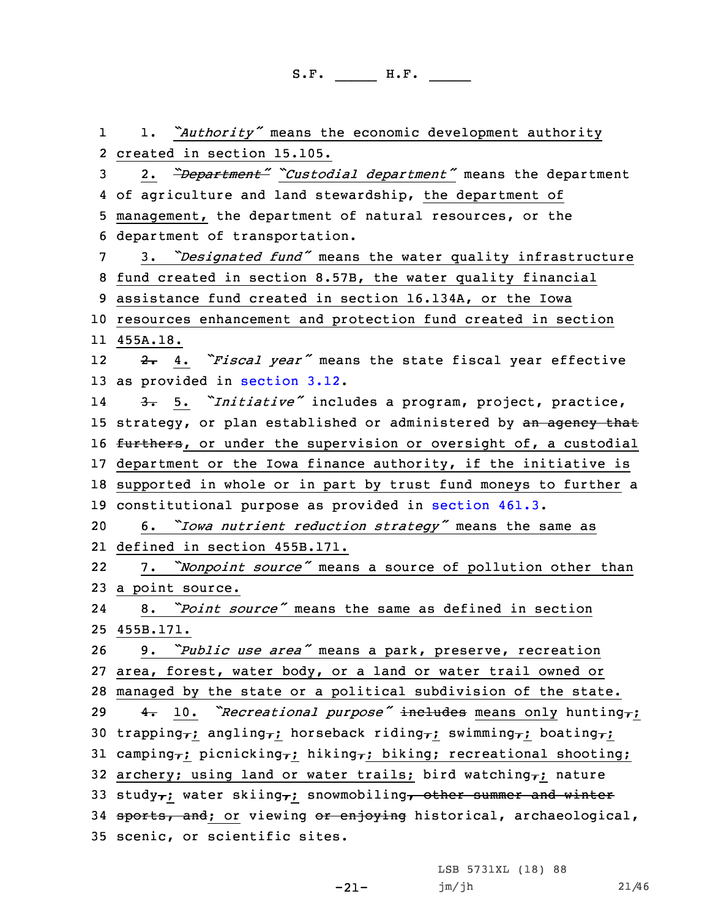1 1. *"Authority"* means the economic development authority 2 created in section 15.105. <sup>3</sup> 2. *"Department" "Custodial department"* means the department 4 of agriculture and land stewardship, the department of 5 management, the department of natural resources, or the 6 department of transportation. <sup>7</sup> 3. *"Designated fund"* means the water quality infrastructure 8 fund created in section 8.57B, the water quality financial 9 assistance fund created in section 16.134A, or the Iowa 10 resources enhancement and protection fund created in section 11 455A.18. 12 2. 4. *"Fiscal year"* means the state fiscal year effective 13 as provided in [section](https://www.legis.iowa.gov/docs/code/2020/3.12.pdf) 3.12. 14 3. 5. *"Initiative"* includes <sup>a</sup> program, project, practice, 15 strategy, or plan established or administered by an agency that 16 furthers, or under the supervision or oversight of, a custodial 17 department or the Iowa finance authority, if the initiative is 18 supported in whole or in part by trust fund moneys to further <sup>a</sup> 19 constitutional purpose as provided in [section](https://www.legis.iowa.gov/docs/code/2020/461.3.pdf) 461.3. <sup>20</sup> 6. *"Iowa nutrient reduction strategy"* means the same as 21 defined in section 455B.171. 22 7. *"Nonpoint source"* means <sup>a</sup> source of pollution other than 23 <sup>a</sup> point source. 24 8. *"Point source"* means the same as defined in section 25 455B.171. <sup>26</sup> 9. *"Public use area"* means <sup>a</sup> park, preserve, recreation 27 area, forest, water body, or <sup>a</sup> land or water trail owned or 28 managed by the state or <sup>a</sup> political subdivision of the state. <sup>29</sup> 4. 10. *"Recreational purpose"* includes means only hunting,; 30 trapping<sub>7</sub>; angling<sub>7</sub>; horseback riding<sub>7</sub>; swimming<sub>7</sub>; boating<sub>7</sub>; 31 camping<sub>7</sub>; picnicking<sub>7</sub>; hiking<sub>7</sub>; biking; recreational shooting; 32 archery; using land or water trails; bird watching<sub>7</sub>; nature 33 study<sub>7</sub>; water skiing<sub>7</sub>; snowmobiling<sub>7</sub> other summer and winter 34 sports, and; or viewing or enjoying historical, archaeological, 35 scenic, or scientific sites.

-21-

LSB 5731XL (18) 88 jm/jh 21/46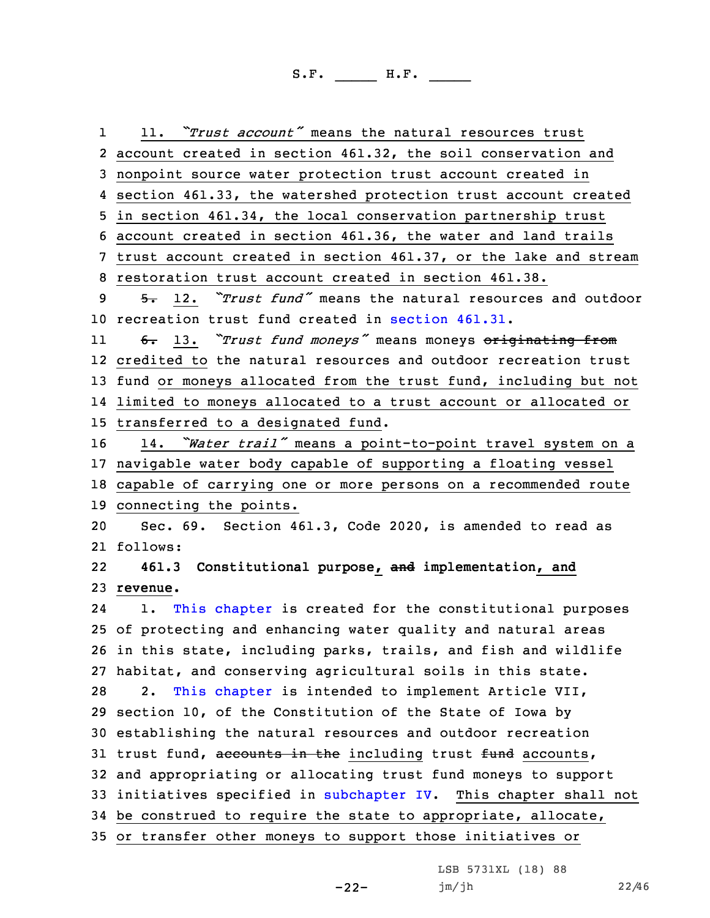1 11. *"Trust account"* means the natural resources trust account created in section 461.32, the soil conservation and nonpoint source water protection trust account created in section 461.33, the watershed protection trust account created in section 461.34, the local conservation partnership trust account created in section 461.36, the water and land trails trust account created in section 461.37, or the lake and stream restoration trust account created in section 461.38. 5. 12. *"Trust fund"* means the natural resources and outdoor recreation trust fund created in [section](https://www.legis.iowa.gov/docs/code/2020/461.31.pdf) 461.31. 11 6. 13. *"Trust fund moneys"* means moneys originating from credited to the natural resources and outdoor recreation trust fund or moneys allocated from the trust fund, including but not limited to moneys allocated to <sup>a</sup> trust account or allocated or transferred to <sup>a</sup> designated fund. 14. *"Water trail"* means <sup>a</sup> point-to-point travel system on <sup>a</sup> navigable water body capable of supporting <sup>a</sup> floating vessel capable of carrying one or more persons on <sup>a</sup> recommended route connecting the points. Sec. 69. Section 461.3, Code 2020, is amended to read as 21 follows: 22 **461.3 Constitutional purpose, and implementation, and** 23 **revenue.** 24 1. This [chapter](https://www.legis.iowa.gov/docs/code/2020/461.pdf) is created for the constitutional purposes of protecting and enhancing water quality and natural areas in this state, including parks, trails, and fish and wildlife habitat, and conserving agricultural soils in this state. 28 2. This [chapter](https://www.legis.iowa.gov/docs/code/2020/461.pdf) is intended to implement Article VII, section 10, of the Constitution of the State of Iowa by establishing the natural resources and outdoor recreation 31 trust fund, accounts in the including trust fund accounts, and appropriating or allocating trust fund moneys to support initiatives specified in [subchapter](https://www.legis.iowa.gov/docs/code/2020/461.pdf) IV. This chapter shall not be construed to require the state to appropriate, allocate, or transfer other moneys to support those initiatives or

-22-

LSB 5731XL (18) 88 jm/jh 22/46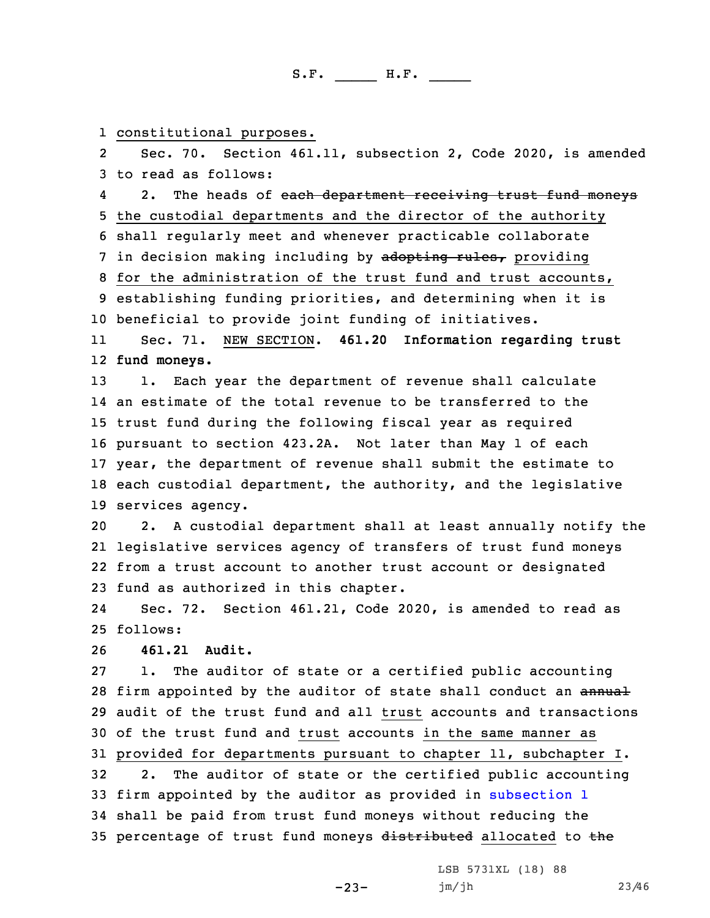1 constitutional purposes.

2 Sec. 70. Section 461.11, subsection 2, Code 2020, is amended 3 to read as follows:

42. The heads of each department receiving trust fund moneys the custodial departments and the director of the authority shall regularly meet and whenever practicable collaborate 7 in decision making including by adopting rules, providing for the administration of the trust fund and trust accounts, establishing funding priorities, and determining when it is beneficial to provide joint funding of initiatives.

11 Sec. 71. NEW SECTION. **461.20 Information regarding trust** 12 **fund moneys.**

 1. Each year the department of revenue shall calculate an estimate of the total revenue to be transferred to the trust fund during the following fiscal year as required pursuant to section 423.2A. Not later than May 1 of each year, the department of revenue shall submit the estimate to each custodial department, the authority, and the legislative services agency.

 2. <sup>A</sup> custodial department shall at least annually notify the legislative services agency of transfers of trust fund moneys from <sup>a</sup> trust account to another trust account or designated fund as authorized in this chapter.

24 Sec. 72. Section 461.21, Code 2020, is amended to read as 25 follows:

26 **461.21 Audit.**

 1. The auditor of state or <sup>a</sup> certified public accounting 28 firm appointed by the auditor of state shall conduct an annual audit of the trust fund and all trust accounts and transactions of the trust fund and trust accounts in the same manner as provided for departments pursuant to chapter 11, subchapter I. 2. The auditor of state or the certified public accounting firm appointed by the auditor as provided in [subsection](https://www.legis.iowa.gov/docs/code/2020/461.21.pdf) 1 shall be paid from trust fund moneys without reducing the

-23-

35 percentage of trust fund moneys distributed allocated to the

LSB 5731XL (18) 88 jm/jh 23/46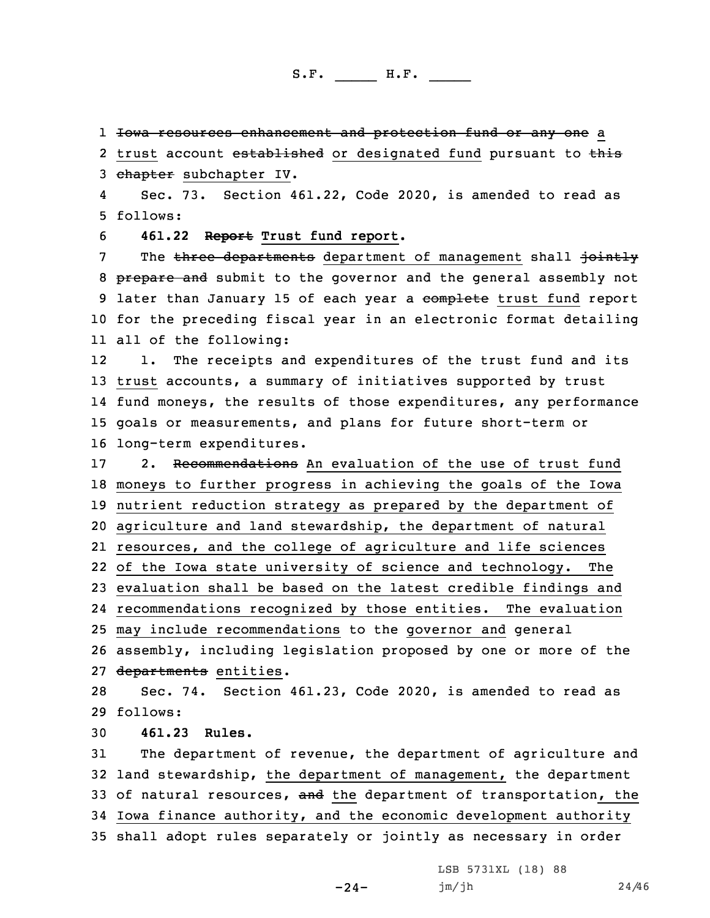1 <del>Iowa resources enhancement and protection fund or any one</del> a

2 trust account established or designated fund pursuant to this 3 chapter subchapter IV.

4 Sec. 73. Section 461.22, Code 2020, is amended to read as 5 follows:

6 **461.22 Report Trust fund report.**

7 The three departments department of management shall jointly 8 prepare and submit to the governor and the general assembly not 9 later than January 15 of each year a complete trust fund report 10 for the preceding fiscal year in an electronic format detailing 11 all of the following:

12 1. The receipts and expenditures of the trust fund and its trust accounts, <sup>a</sup> summary of initiatives supported by trust fund moneys, the results of those expenditures, any performance goals or measurements, and plans for future short-term or long-term expenditures.

17 2. Recommendations An evaluation of the use of trust fund moneys to further progress in achieving the goals of the Iowa nutrient reduction strategy as prepared by the department of agriculture and land stewardship, the department of natural resources, and the college of agriculture and life sciences of the Iowa state university of science and technology. The evaluation shall be based on the latest credible findings and recommendations recognized by those entities. The evaluation may include recommendations to the governor and general assembly, including legislation proposed by one or more of the 27 departments entities.

28 Sec. 74. Section 461.23, Code 2020, is amended to read as 29 follows:

30 **461.23 Rules.**

 The department of revenue, the department of agriculture and land stewardship, the department of management, the department 33 of natural resources, and the department of transportation, the Iowa finance authority, and the economic development authority shall adopt rules separately or jointly as necessary in order

 $-24-$ 

LSB 5731XL (18) 88 jm/jh 24/46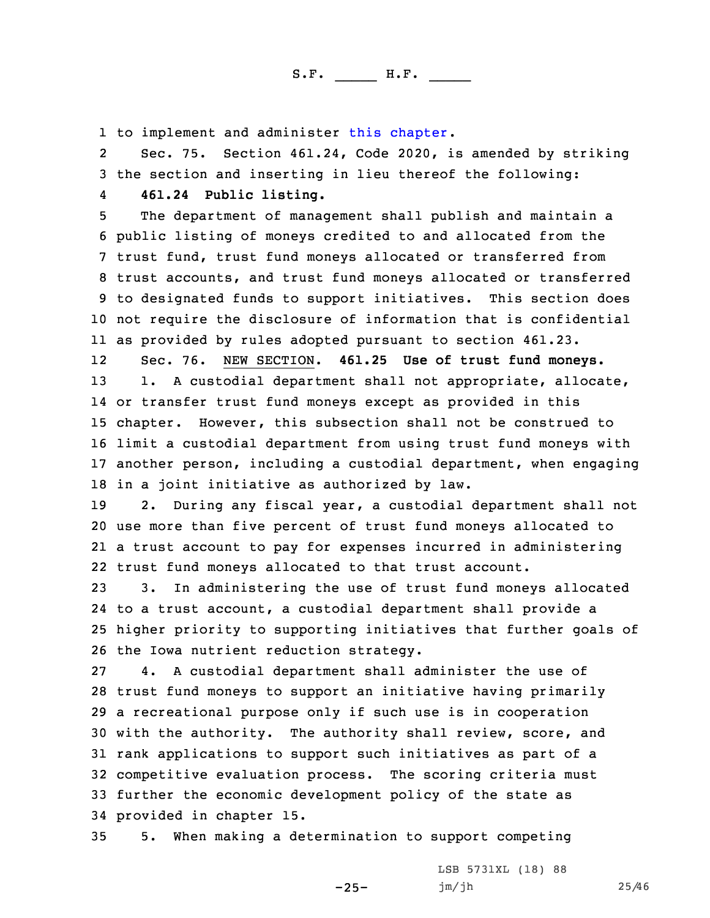1 to implement and administer this [chapter](https://www.legis.iowa.gov/docs/code/2020/461.pdf).

2 Sec. 75. Section 461.24, Code 2020, is amended by striking 3 the section and inserting in lieu thereof the following: 4**461.24 Public listing.**

 The department of management shall publish and maintain <sup>a</sup> public listing of moneys credited to and allocated from the trust fund, trust fund moneys allocated or transferred from trust accounts, and trust fund moneys allocated or transferred to designated funds to support initiatives. This section does not require the disclosure of information that is confidential as provided by rules adopted pursuant to section 461.23.

12 Sec. 76. NEW SECTION. **461.25 Use of trust fund moneys.** 13 1. A custodial department shall not appropriate, allocate, or transfer trust fund moneys except as provided in this chapter. However, this subsection shall not be construed to limit <sup>a</sup> custodial department from using trust fund moneys with another person, including <sup>a</sup> custodial department, when engaging in <sup>a</sup> joint initiative as authorized by law.

 2. During any fiscal year, <sup>a</sup> custodial department shall not use more than five percent of trust fund moneys allocated to <sup>a</sup> trust account to pay for expenses incurred in administering trust fund moneys allocated to that trust account.

 3. In administering the use of trust fund moneys allocated to <sup>a</sup> trust account, <sup>a</sup> custodial department shall provide <sup>a</sup> higher priority to supporting initiatives that further goals of the Iowa nutrient reduction strategy.

 4. <sup>A</sup> custodial department shall administer the use of trust fund moneys to support an initiative having primarily <sup>a</sup> recreational purpose only if such use is in cooperation with the authority. The authority shall review, score, and rank applications to support such initiatives as part of <sup>a</sup> competitive evaluation process. The scoring criteria must further the economic development policy of the state as provided in chapter 15.

35 5. When making <sup>a</sup> determination to support competing

-25-

LSB 5731XL (18) 88 jm/jh 25/46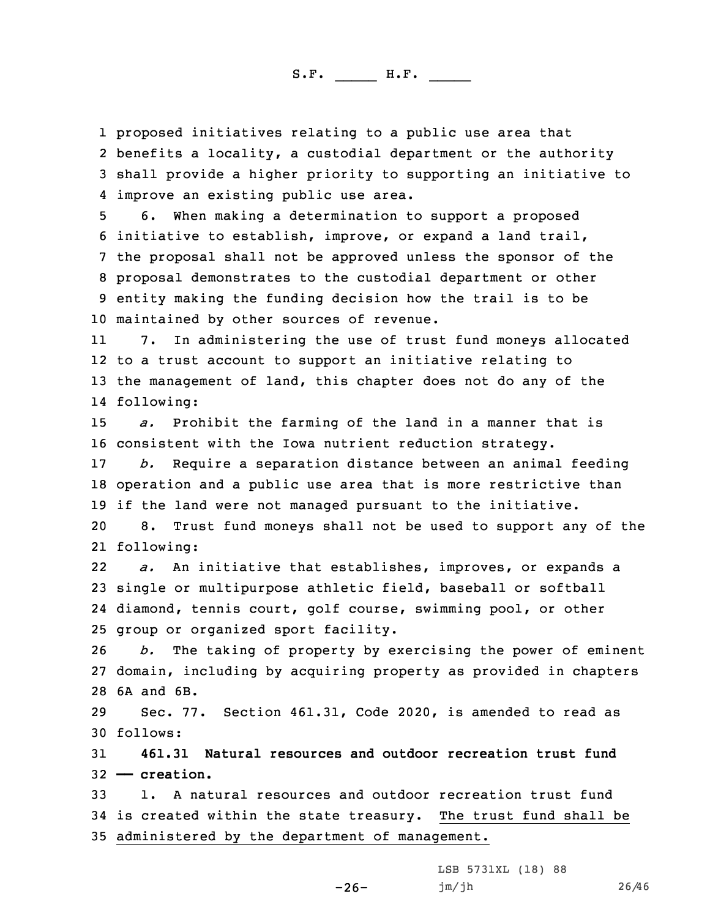proposed initiatives relating to <sup>a</sup> public use area that benefits <sup>a</sup> locality, <sup>a</sup> custodial department or the authority shall provide <sup>a</sup> higher priority to supporting an initiative to improve an existing public use area.

 6. When making <sup>a</sup> determination to support <sup>a</sup> proposed initiative to establish, improve, or expand <sup>a</sup> land trail, the proposal shall not be approved unless the sponsor of the proposal demonstrates to the custodial department or other entity making the funding decision how the trail is to be maintained by other sources of revenue.

11 7. In administering the use of trust fund moneys allocated 12 to <sup>a</sup> trust account to support an initiative relating to 13 the management of land, this chapter does not do any of the 14 following:

15 *a.* Prohibit the farming of the land in <sup>a</sup> manner that is 16 consistent with the Iowa nutrient reduction strategy.

17 *b.* Require <sup>a</sup> separation distance between an animal feeding 18 operation and <sup>a</sup> public use area that is more restrictive than 19 if the land were not managed pursuant to the initiative.

20 8. Trust fund moneys shall not be used to support any of the 21 following:

22 *a.* An initiative that establishes, improves, or expands <sup>a</sup> 23 single or multipurpose athletic field, baseball or softball 24 diamond, tennis court, golf course, swimming pool, or other 25 group or organized sport facility.

26 *b.* The taking of property by exercising the power of eminent 27 domain, including by acquiring property as provided in chapters 28 6A and 6B.

29 Sec. 77. Section 461.31, Code 2020, is amended to read as 30 follows:

31 **461.31 Natural resources and outdoor recreation trust fund** 32 **—— creation.**

33 1. A natural resources and outdoor recreation trust fund 34 is created within the state treasury. The trust fund shall be 35 administered by the department of management.

-26-

LSB 5731XL (18) 88 jm/jh 26/46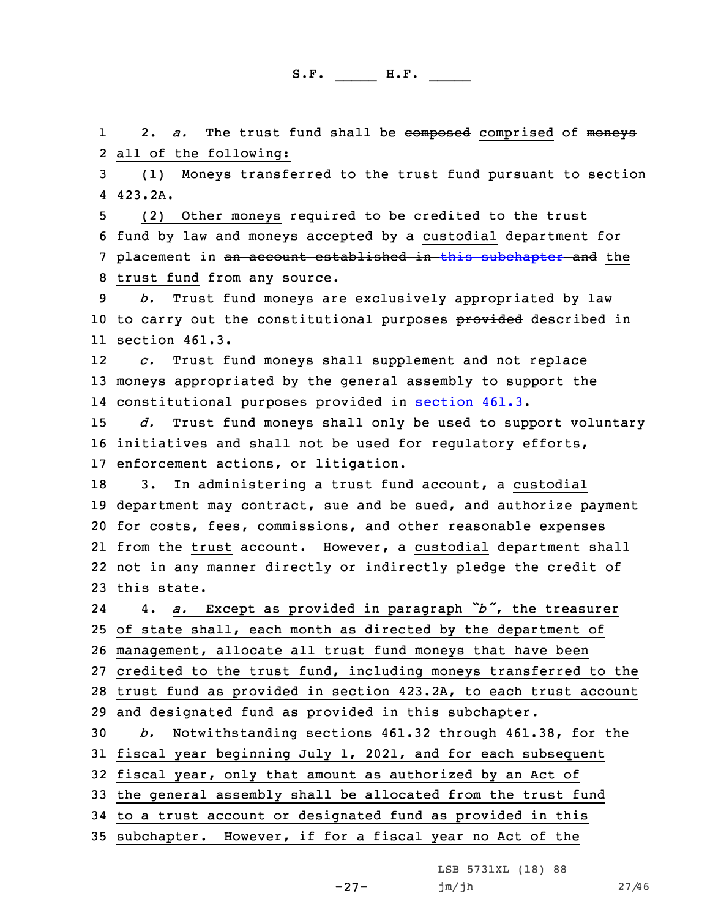12. *a.* The trust fund shall be composed comprised of moneys 2 all of the following:

3 (1) Moneys transferred to the trust fund pursuant to section 4 423.2A.

 (2) Other moneys required to be credited to the trust fund by law and moneys accepted by <sup>a</sup> custodial department for 7 placement in an account established in this [subchapter](https://www.legis.iowa.gov/docs/code/2020/461.pdf) and the trust fund from any source.

9 *b.* Trust fund moneys are exclusively appropriated by law 10 to carry out the constitutional purposes provided described in 11 section 461.3.

12 *c.* Trust fund moneys shall supplement and not replace 13 moneys appropriated by the general assembly to support the 14 constitutional purposes provided in [section](https://www.legis.iowa.gov/docs/code/2020/461.3.pdf) 461.3.

15 *d.* Trust fund moneys shall only be used to support voluntary 16 initiatives and shall not be used for regulatory efforts, 17 enforcement actions, or litigation.

18 3. In administering a trust fund account, a custodial department may contract, sue and be sued, and authorize payment for costs, fees, commissions, and other reasonable expenses from the trust account. However, <sup>a</sup> custodial department shall not in any manner directly or indirectly pledge the credit of this state.

24 4. *a.* Except as provided in paragraph *"b"*, the treasurer of state shall, each month as directed by the department of management, allocate all trust fund moneys that have been credited to the trust fund, including moneys transferred to the trust fund as provided in section 423.2A, to each trust account and designated fund as provided in this subchapter. *b.* Notwithstanding sections 461.32 through 461.38, for the fiscal year beginning July 1, 2021, and for each subsequent

32 fiscal year, only that amount as authorized by an Act of

33 the general assembly shall be allocated from the trust fund

34 to <sup>a</sup> trust account or designated fund as provided in this

35 subchapter. However, if for <sup>a</sup> fiscal year no Act of the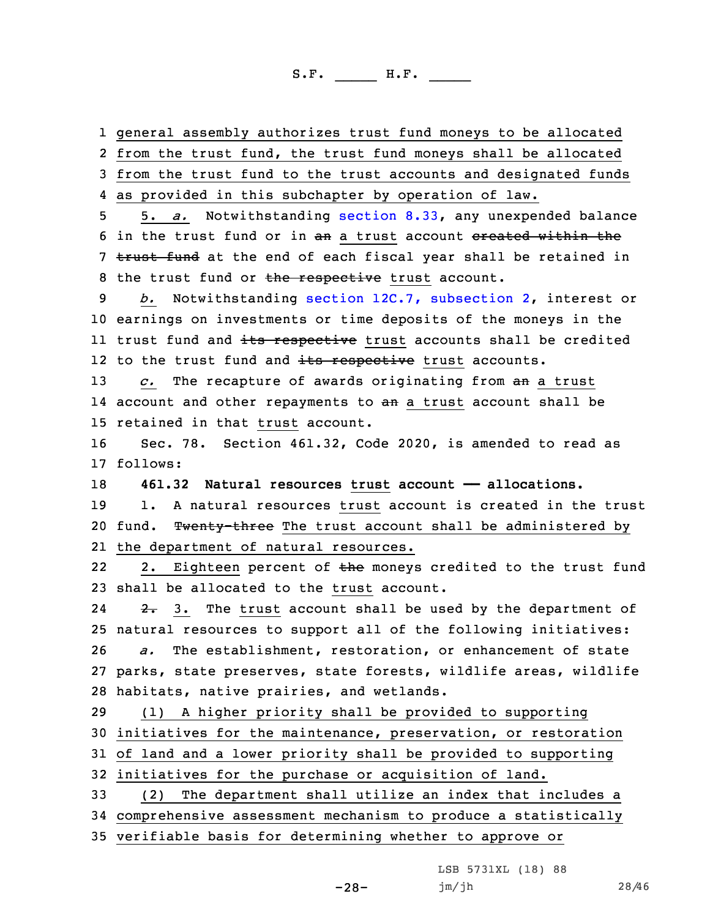1 general assembly authorizes trust fund moneys to be allocated

2 from the trust fund, the trust fund moneys shall be allocated 3 from the trust fund to the trust accounts and designated funds

4 as provided in this subchapter by operation of law.

5 5. *a.* Notwithstanding [section](https://www.legis.iowa.gov/docs/code/2020/8.33.pdf) 8.33, any unexpended balance 6 in the trust fund or in an a trust account ereated within the 7 trust fund at the end of each fiscal year shall be retained in 8 the trust fund or the respective trust account.

9 *b.* Notwithstanding section 12C.7, [subsection](https://www.legis.iowa.gov/docs/code/2020/12C.7.pdf) 2, interest or 10 earnings on investments or time deposits of the moneys in the 11 trust fund and <del>its respective</del> trust accounts shall be credited 12 to the trust fund and <del>its respective</del> trust accounts.

13 *c.* The recapture of awards originating from an <sup>a</sup> trust 14 account and other repayments to <del>an</del> a trust account shall be 15 retained in that trust account.

16 Sec. 78. Section 461.32, Code 2020, is amended to read as 17 follows:

18 **461.32 Natural resources trust account —— allocations.**

19 1. A natural resources trust account is created in the trust 20 fund. Twenty-three The trust account shall be administered by 21 the department of natural resources.

222. Eighteen percent of the moneys credited to the trust fund 23 shall be allocated to the trust account.

24 $2.5$  3. The trust account shall be used by the department of natural resources to support all of the following initiatives: *a.* The establishment, restoration, or enhancement of state parks, state preserves, state forests, wildlife areas, wildlife habitats, native prairies, and wetlands.

 (1) <sup>A</sup> higher priority shall be provided to supporting initiatives for the maintenance, preservation, or restoration of land and <sup>a</sup> lower priority shall be provided to supporting initiatives for the purchase or acquisition of land.

33 (2) The department shall utilize an index that includes <sup>a</sup> 34 comprehensive assessment mechanism to produce <sup>a</sup> statistically 35 verifiable basis for determining whether to approve or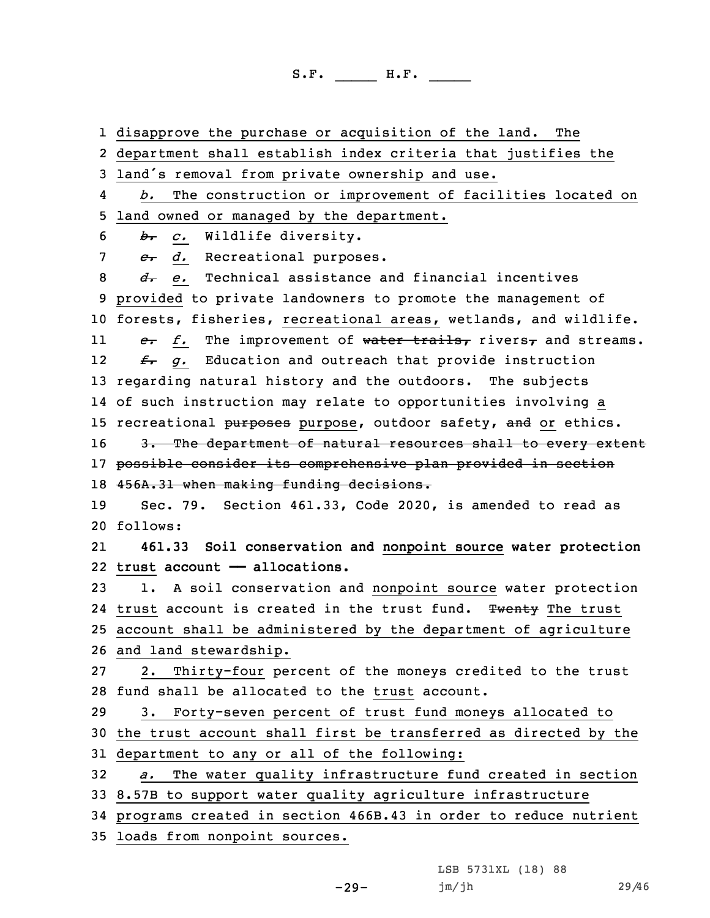1 disapprove the purchase or acquisition of the land. The

2 department shall establish index criteria that justifies the

<sup>3</sup> land's removal from private ownership and use.

4 *b.* The construction or improvement of facilities located on 5 land owned or managed by the department.

6 *b. c.* Wildlife diversity.

7 *c. d.* Recreational purposes.

 *d. e.* Technical assistance and financial incentives provided to private landowners to promote the management of forests, fisheries, recreational areas, wetlands, and wildlife. 11 *e. f.* The improvement of water trails, rivers, and streams. 12 *f. g.* Education and outreach that provide instruction regarding natural history and the outdoors. The subjects of such instruction may relate to opportunities involving <sup>a</sup> 15 recreational purposes purpose, outdoor safety, and or ethics. 16 3. The department of natural resources shall to every extent possible consider its comprehensive plan provided in section 456A.31 when making funding decisions. Sec. 79. Section 461.33, Code 2020, is amended to read as 20 follows: 21 **461.33 Soil conservation and nonpoint source water protection trust account —— allocations.** 1. <sup>A</sup> soil conservation and nonpoint source water protection 24 trust account is created in the trust fund. Twenty The trust account shall be administered by the department of agriculture and land stewardship. 2. Thirty-four percent of the moneys credited to the trust fund shall be allocated to the trust account. 3. Forty-seven percent of trust fund moneys allocated to the trust account shall first be transferred as directed by the department to any or all of the following: *a.* The water quality infrastructure fund created in section 8.57B to support water quality agriculture infrastructure programs created in section 466B.43 in order to reduce nutrient

35 loads from nonpoint sources.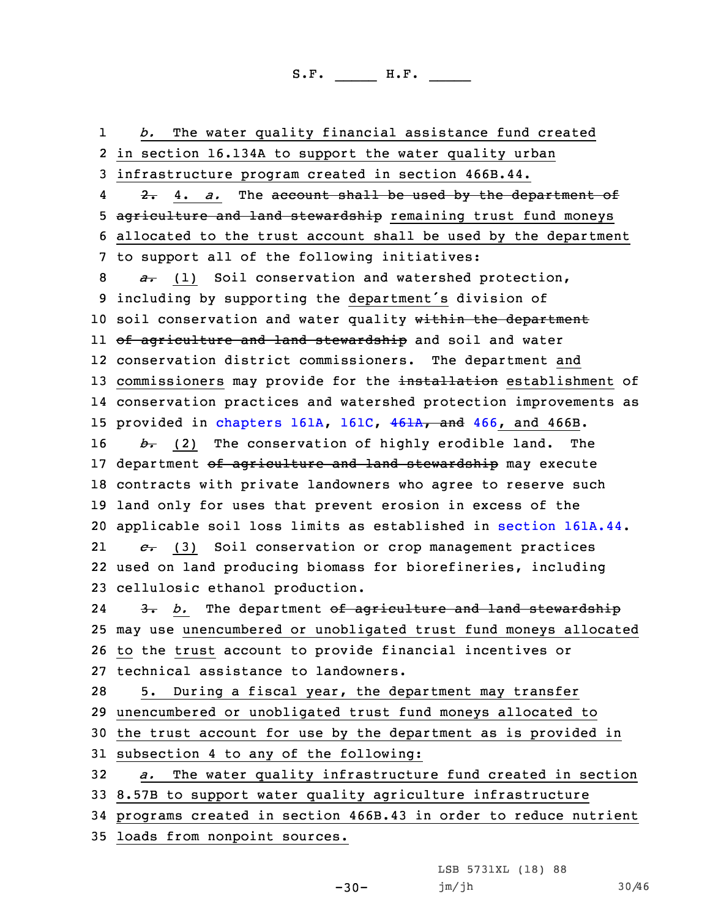1 *b.* The water quality financial assistance fund created in section 16.134A to support the water quality urban infrastructure program created in section 466B.44. 4 2. 4. *a.* The account shall be used by the department of 5 agriculture and land stewardship remaining trust fund moneys allocated to the trust account shall be used by the department to support all of the following initiatives: *a.* (1) Soil conservation and watershed protection, including by supporting the department's division of 10 soil conservation and water quality within the department ll <del>of agriculture and land stewardship</del> and soil and water conservation district commissioners. The department and 13 commissioners may provide for the installation establishment of conservation practices and watershed protection improvements as 15 provided in [chapters](https://www.legis.iowa.gov/docs/code/2020/161A.pdf) 161A, [161C](https://www.legis.iowa.gov/docs/code/2020/161C.pdf), [461A](https://www.legis.iowa.gov/docs/code/2020/461A.pdf), and [466](https://www.legis.iowa.gov/docs/code/2020/466.pdf), and 466B. *b.* (2) The conservation of highly erodible land. The 17 department of agriculture and land stewardship may execute contracts with private landowners who agree to reserve such land only for uses that prevent erosion in excess of the applicable soil loss limits as established in section [161A.44](https://www.legis.iowa.gov/docs/code/2020/161A.44.pdf). 21 *c.* (3) Soil conservation or crop management practices used on land producing biomass for biorefineries, including cellulosic ethanol production. 24 3. *b.* The department of agriculture and land stewardship may use unencumbered or unobligated trust fund moneys allocated to the trust account to provide financial incentives or technical assistance to landowners. 5. During <sup>a</sup> fiscal year, the department may transfer unencumbered or unobligated trust fund moneys allocated to the trust account for use by the department as is provided in subsection 4 to any of the following: *a.* The water quality infrastructure fund created in section 8.57B to support water quality agriculture infrastructure programs created in section 466B.43 in order to reduce nutrient loads from nonpoint sources.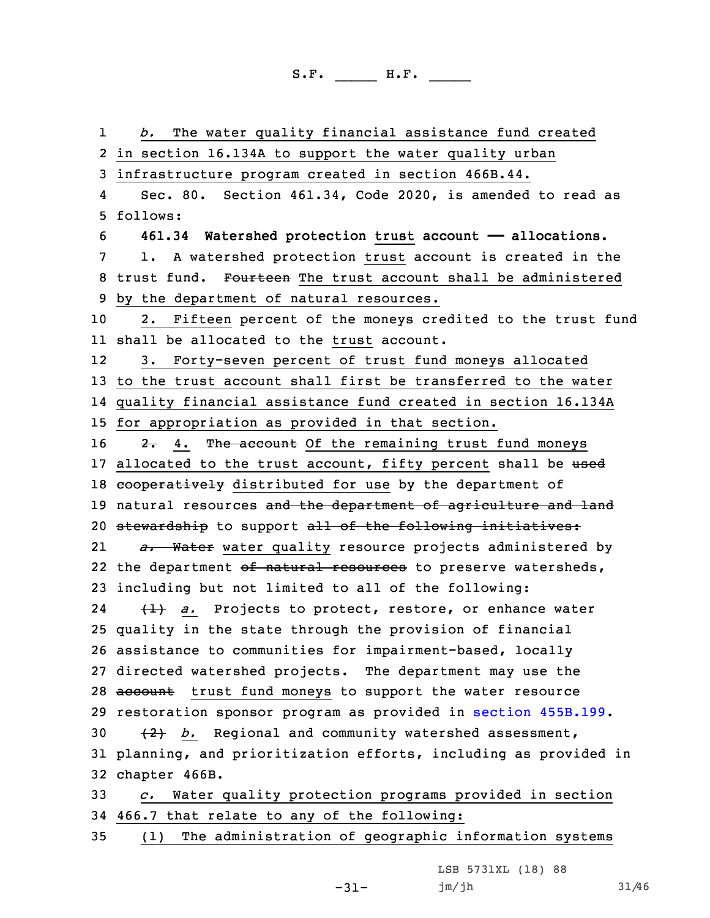1 *b.* The water quality financial assistance fund created 2 in section 16.134A to support the water quality urban 3 infrastructure program created in section 466B.44. 4 Sec. 80. Section 461.34, Code 2020, is amended to read as 5 follows: 6 **461.34 Watershed protection trust account —— allocations.** 7 1. <sup>A</sup> watershed protection trust account is created in the 8 trust fund. Fourteen The trust account shall be administered 9 by the department of natural resources. 10 2. Fifteen percent of the moneys credited to the trust fund 11 shall be allocated to the trust account. 12 3. Forty-seven percent of trust fund moneys allocated 13 to the trust account shall first be transferred to the water 14 quality financial assistance fund created in section 16.134A 15 for appropriation as provided in that section. 16 2. 4. The account Of the remaining trust fund moneys 17 allocated to the trust account, fifty percent shall be used 18 cooperatively distributed for use by the department of 19 natural resources and the department of agriculture and land 20 stewardship to support all of the following initiatives: 21 *a.* Water water quality resource projects administered by 22 the department <del>of natural resources</del> to preserve watersheds, 23 including but not limited to all of the following: 24 (1) *a.* Projects to protect, restore, or enhance water 25 quality in the state through the provision of financial 26 assistance to communities for impairment-based, locally 27 directed watershed projects. The department may use the 28 account trust fund moneys to support the water resource 29 restoration sponsor program as provided in section [455B.199](https://www.legis.iowa.gov/docs/code/2020/455B.199.pdf). 30 (2) *b.* Regional and community watershed assessment, 31 planning, and prioritization efforts, including as provided in 32 chapter 466B. 33 *c.* Water quality protection programs provided in section 34 466.7 that relate to any of the following: 35 (1) The administration of geographic information systems

LSB 5731XL (18) 88

-31-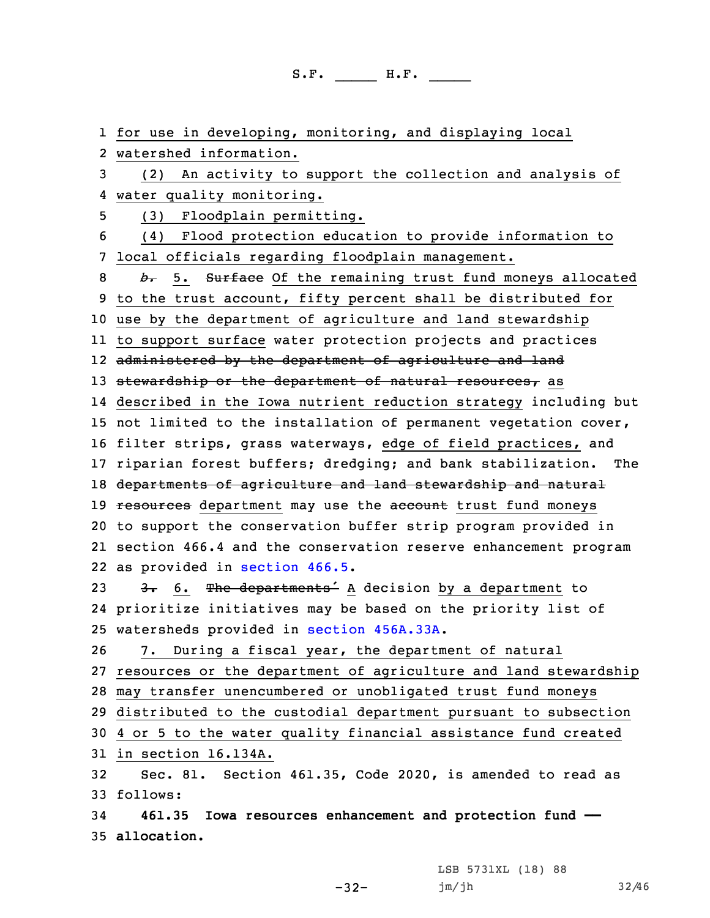for use in developing, monitoring, and displaying local watershed information. (2) An activity to support the collection and analysis of water quality monitoring. (3) Floodplain permitting. (4) Flood protection education to provide information to local officials regarding floodplain management. *b.* 5. Surface Of the remaining trust fund moneys allocated to the trust account, fifty percent shall be distributed for use by the department of agriculture and land stewardship to support surface water protection projects and practices administered by the department of agriculture and land 13 stewardship or the department of natural resources, as described in the Iowa nutrient reduction strategy including but not limited to the installation of permanent vegetation cover, filter strips, grass waterways, edge of field practices, and riparian forest buffers; dredging; and bank stabilization. The departments of agriculture and land stewardship and natural 19 resources department may use the account trust fund moneys to support the conservation buffer strip program provided in section 466.4 and the conservation reserve enhancement program as provided in [section](https://www.legis.iowa.gov/docs/code/2020/466.5.pdf) 466.5. 23 3. 6. The departments<sup>2</sup> A decision by a department to prioritize initiatives may be based on the priority list of watersheds provided in section [456A.33A](https://www.legis.iowa.gov/docs/code/2020/456A.33A.pdf). 7. During <sup>a</sup> fiscal year, the department of natural resources or the department of agriculture and land stewardship may transfer unencumbered or unobligated trust fund moneys distributed to the custodial department pursuant to subsection 4 or 5 to the water quality financial assistance fund created in section 16.134A. Sec. 81. Section 461.35, Code 2020, is amended to read as 33 follows: **461.35 Iowa resources enhancement and protection fund —— allocation.**

-32-

LSB 5731XL (18) 88 jm/jh 32/46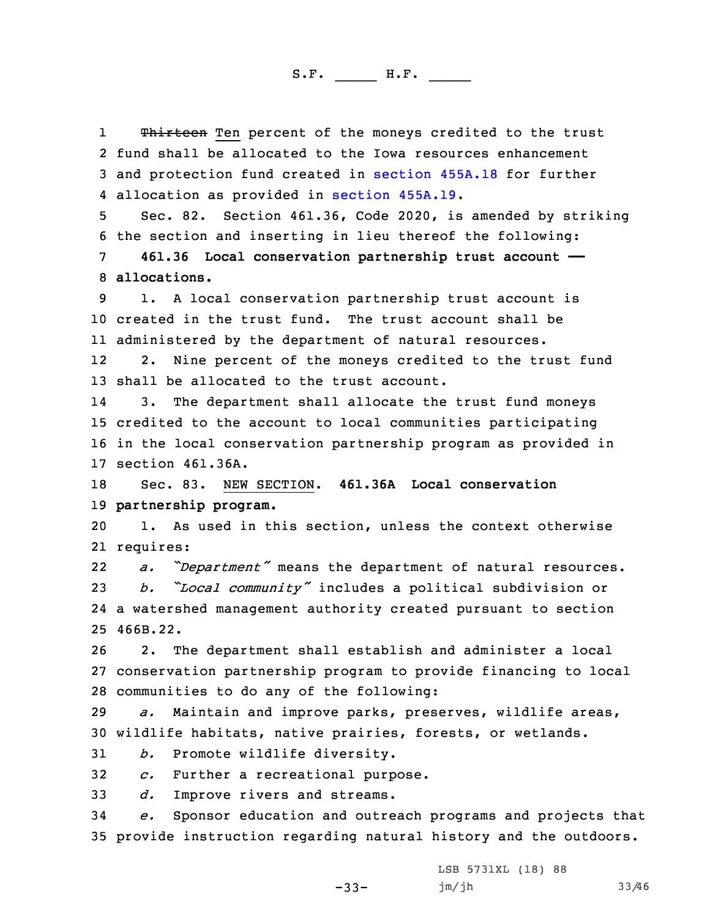1Thirteen Ten percent of the moneys credited to the trust 2 fund shall be allocated to the Iowa resources enhancement 3 and protection fund created in [section](https://www.legis.iowa.gov/docs/code/2020/455A.18.pdf) 455A.18 for further 4 allocation as provided in section [455A.19](https://www.legis.iowa.gov/docs/code/2020/455A.19.pdf).

5 Sec. 82. Section 461.36, Code 2020, is amended by striking 6 the section and inserting in lieu thereof the following:

7 **461.36 Local conservation partnership trust account ——** 8 **allocations.**

9 1. <sup>A</sup> local conservation partnership trust account is 10 created in the trust fund. The trust account shall be 11 administered by the department of natural resources.

12 2. Nine percent of the moneys credited to the trust fund 13 shall be allocated to the trust account.

14 3. The department shall allocate the trust fund moneys 15 credited to the account to local communities participating 16 in the local conservation partnership program as provided in 17 section 461.36A.

18 Sec. 83. NEW SECTION. **461.36A Local conservation** 19 **partnership program.**

20 1. As used in this section, unless the context otherwise 21 requires:

22 *a. "Department"* means the department of natural resources. <sup>23</sup> *b. "Local community"* includes <sup>a</sup> political subdivision or 24 <sup>a</sup> watershed management authority created pursuant to section 25 466B.22.

26 2. The department shall establish and administer <sup>a</sup> local 27 conservation partnership program to provide financing to local 28 communities to do any of the following:

29 *a.* Maintain and improve parks, preserves, wildlife areas, 30 wildlife habitats, native prairies, forests, or wetlands.

31 *b.* Promote wildlife diversity.

32 *c.* Further <sup>a</sup> recreational purpose.

33 *d.* Improve rivers and streams.

34 *e.* Sponsor education and outreach programs and projects that 35 provide instruction regarding natural history and the outdoors.

-33-

LSB 5731XL (18) 88 jm/jh 33/46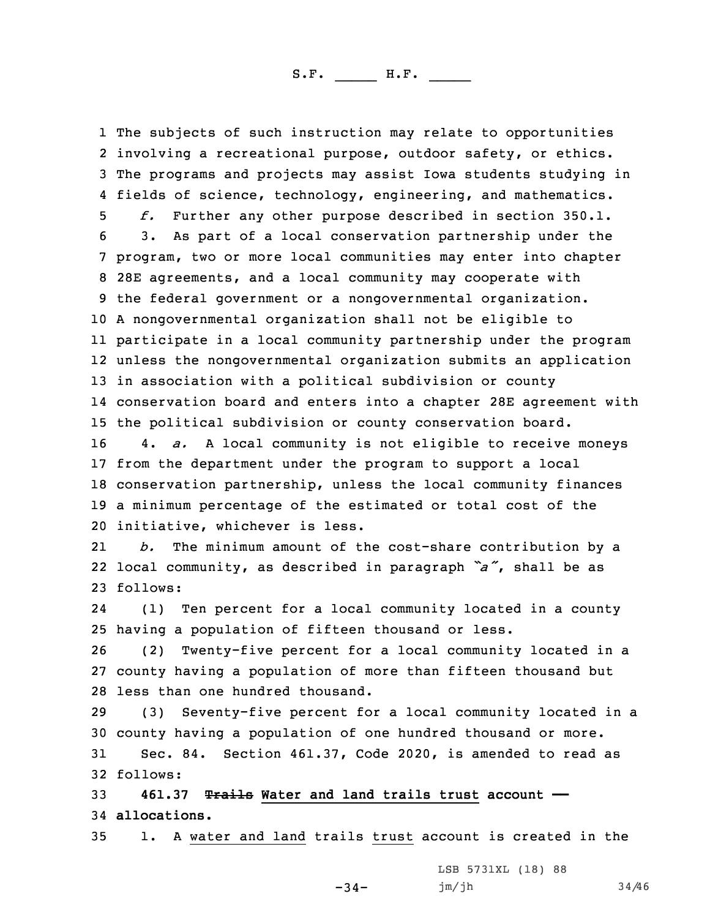The subjects of such instruction may relate to opportunities involving <sup>a</sup> recreational purpose, outdoor safety, or ethics. The programs and projects may assist Iowa students studying in fields of science, technology, engineering, and mathematics. *f.* Further any other purpose described in section 350.1. 3. As part of <sup>a</sup> local conservation partnership under the program, two or more local communities may enter into chapter 28E agreements, and <sup>a</sup> local community may cooperate with the federal government or <sup>a</sup> nongovernmental organization. <sup>A</sup> nongovernmental organization shall not be eligible to participate in <sup>a</sup> local community partnership under the program unless the nongovernmental organization submits an application in association with <sup>a</sup> political subdivision or county conservation board and enters into <sup>a</sup> chapter 28E agreement with the political subdivision or county conservation board. 4. *a.* <sup>A</sup> local community is not eligible to receive moneys from the department under the program to support <sup>a</sup> local conservation partnership, unless the local community finances <sup>a</sup> minimum percentage of the estimated or total cost of the initiative, whichever is less. 21 *b.* The minimum amount of the cost-share contribution by <sup>a</sup> local community, as described in paragraph *"a"*, shall be as 23 follows: 24 (1) Ten percent for <sup>a</sup> local community located in <sup>a</sup> county having <sup>a</sup> population of fifteen thousand or less. (2) Twenty-five percent for <sup>a</sup> local community located in <sup>a</sup> county having <sup>a</sup> population of more than fifteen thousand but less than one hundred thousand. (3) Seventy-five percent for <sup>a</sup> local community located in <sup>a</sup> county having <sup>a</sup> population of one hundred thousand or more. Sec. 84. Section 461.37, Code 2020, is amended to read as 32 follows:

33 **461.37 Trails Water and land trails trust account ——** 34 **allocations.**

35 1. A water and land trails trust account is created in the

-34-

LSB 5731XL (18) 88 jm/jh 34/46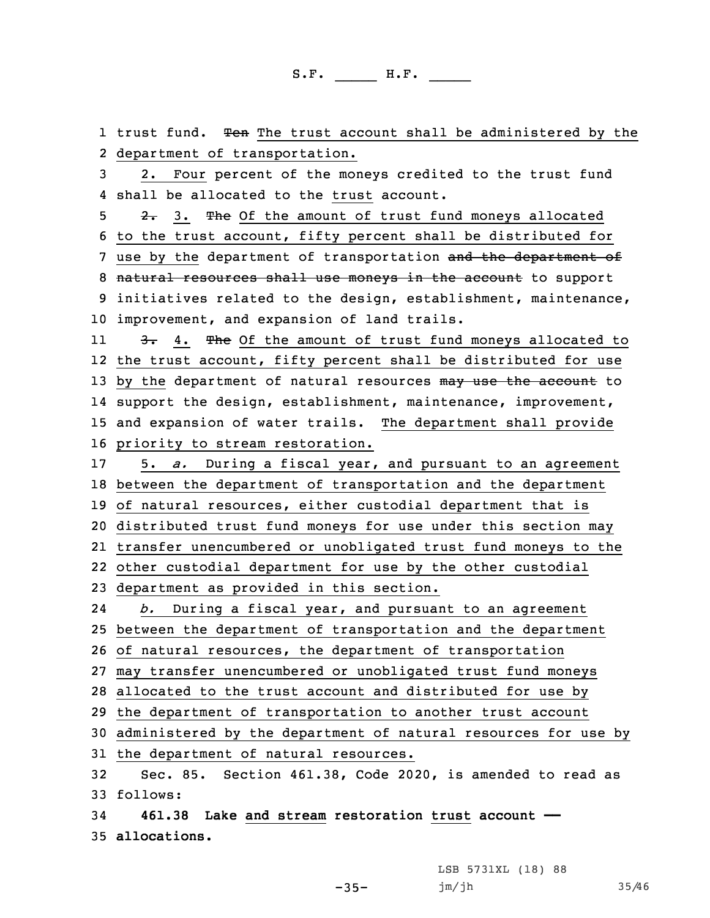1 trust fund. <del>Ten</del> The trust account shall be administered by the department of transportation. 2. Four percent of the moneys credited to the trust fund shall be allocated to the trust account. 5 2. 3. The Of the amount of trust fund moneys allocated to the trust account, fifty percent shall be distributed for 7 use by the department of transportation and the department of 8 natural resources shall use moneys in the account to support initiatives related to the design, establishment, maintenance, improvement, and expansion of land trails. 113. 4. The Of the amount of trust fund moneys allocated to the trust account, fifty percent shall be distributed for use 13 by the department of natural resources may use the account to support the design, establishment, maintenance, improvement, and expansion of water trails. The department shall provide priority to stream restoration. 5. *a.* During <sup>a</sup> fiscal year, and pursuant to an agreement between the department of transportation and the department of natural resources, either custodial department that is distributed trust fund moneys for use under this section may transfer unencumbered or unobligated trust fund moneys to the other custodial department for use by the other custodial department as provided in this section. 24 *b.* During <sup>a</sup> fiscal year, and pursuant to an agreement between the department of transportation and the department of natural resources, the department of transportation may transfer unencumbered or unobligated trust fund moneys allocated to the trust account and distributed for use by the department of transportation to another trust account administered by the department of natural resources for use by the department of natural resources. Sec. 85. Section 461.38, Code 2020, is amended to read as 33 follows: **461.38 Lake and stream restoration trust account —— allocations.**

 $-35-$ 

LSB 5731XL (18) 88 jm/jh 35/46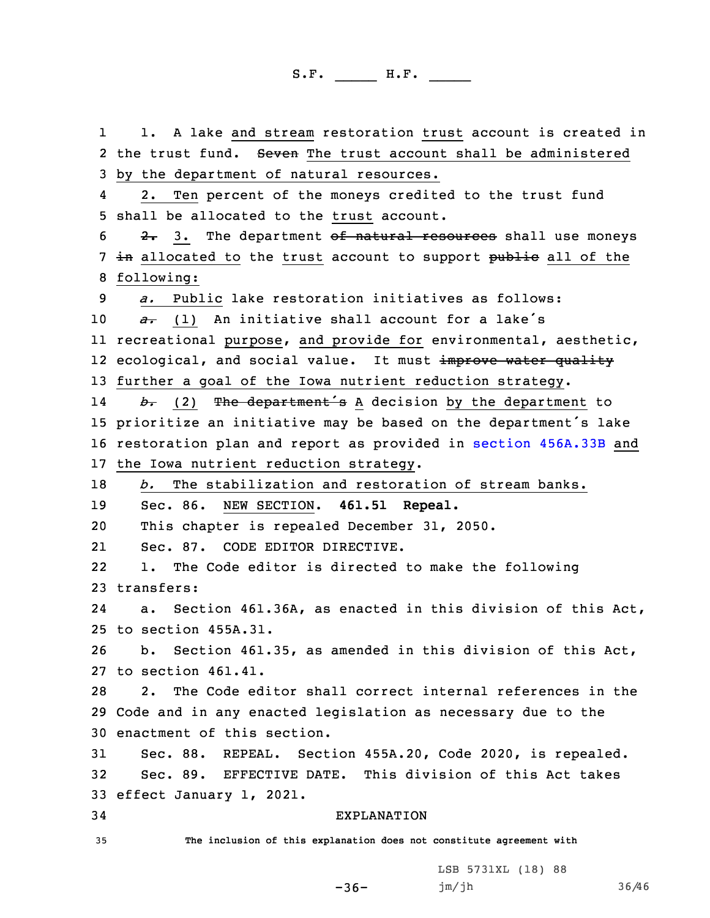1 1. A lake and stream restoration trust account is created in 2 the trust fund. Seven The trust account shall be administered by the department of natural resources. 4 2. Ten percent of the moneys credited to the trust fund shall be allocated to the trust account.  $2.3$ . The department of natural resources shall use moneys 7 in allocated to the trust account to support public all of the following: *a.* Public lake restoration initiatives as follows: *a*. (1) An initiative shall account for a lake's recreational purpose, and provide for environmental, aesthetic, 12 ecological, and social value. It must <del>improve water quality</del> further <sup>a</sup> goal of the Iowa nutrient reduction strategy. 14 *b.* (2) The department's <sup>A</sup> decision by the department to prioritize an initiative may be based on the department's lake restoration plan and report as provided in section [456A.33B](https://www.legis.iowa.gov/docs/code/2020/456A.33B.pdf) and the Iowa nutrient reduction strategy. *b.* The stabilization and restoration of stream banks. Sec. 86. NEW SECTION. **461.51 Repeal.** This chapter is repealed December 31, 2050. 21 Sec. 87. CODE EDITOR DIRECTIVE. 22 1. The Code editor is directed to make the following transfers: 24 a. Section 461.36A, as enacted in this division of this Act, to section 455A.31. b. Section 461.35, as amended in this division of this Act, to section 461.41. 2. The Code editor shall correct internal references in the Code and in any enacted legislation as necessary due to the enactment of this section. Sec. 88. REPEAL. Section 455A.20, Code 2020, is repealed. Sec. 89. EFFECTIVE DATE. This division of this Act takes effect January 1, 2021. EXPLANATION **The inclusion of this explanation does not constitute agreement with**

-36-

LSB 5731XL (18) 88 jm/jh 36/46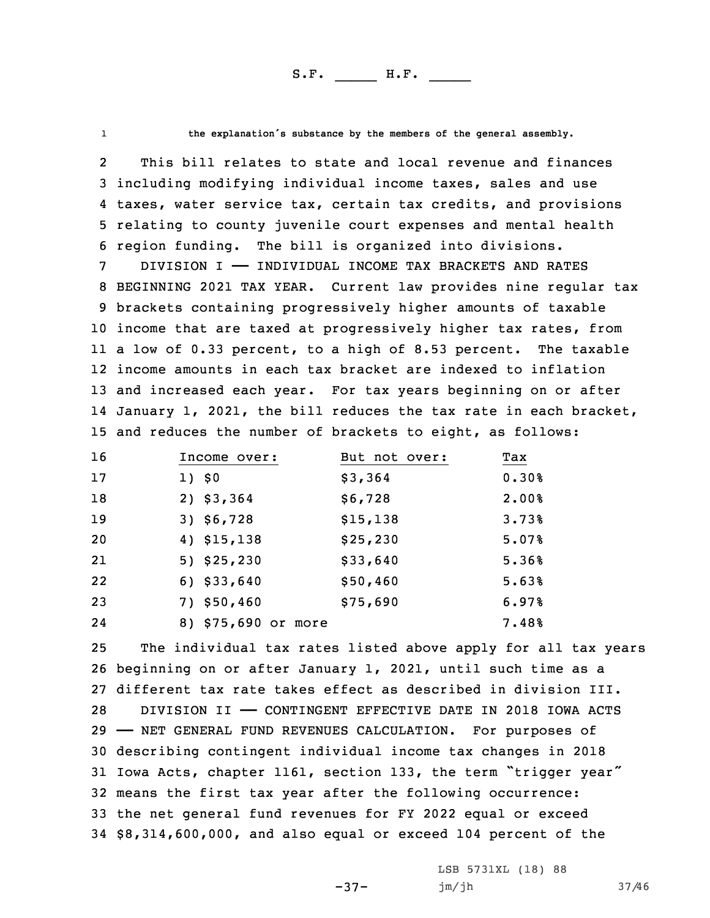1

**the explanation's substance by the members of the general assembly.**

2 This bill relates to state and local revenue and finances including modifying individual income taxes, sales and use taxes, water service tax, certain tax credits, and provisions relating to county juvenile court expenses and mental health region funding. The bill is organized into divisions.

 DIVISION I —— INDIVIDUAL INCOME TAX BRACKETS AND RATES BEGINNING 2021 TAX YEAR. Current law provides nine regular tax brackets containing progressively higher amounts of taxable income that are taxed at progressively higher tax rates, from <sup>a</sup> low of 0.33 percent, to <sup>a</sup> high of 8.53 percent. The taxable income amounts in each tax bracket are indexed to inflation and increased each year. For tax years beginning on or after January 1, 2021, the bill reduces the tax rate in each bracket, and reduces the number of brackets to eight, as follows:

| 16 | Income over:        | But not over: | Tax   |
|----|---------------------|---------------|-------|
| 17 | 1) \$0              | \$3,364       | 0.30% |
| 18 | 2) \$3,364          | \$6,728       | 2.00% |
| 19 | $3)$ \$6,728        | \$15,138      | 3.73% |
| 20 | 4) \$15,138         | \$25,230      | 5.07% |
| 21 | 5) \$25,230         | \$33,640      | 5.36% |
| 22 | $6)$ \$33,640       | \$50,460      | 5.63% |
| 23 | 7) \$50,460         | \$75,690      | 6.97% |
| 24 | 8) \$75,690 or more |               | 7.48% |

 The individual tax rates listed above apply for all tax years beginning on or after January 1, 2021, until such time as <sup>a</sup> different tax rate takes effect as described in division III. DIVISION II —— CONTINGENT EFFECTIVE DATE IN 2018 IOWA ACTS —— NET GENERAL FUND REVENUES CALCULATION. For purposes of describing contingent individual income tax changes in 2018 Iowa Acts, chapter 1161, section 133, the term "trigger year" means the first tax year after the following occurrence: the net general fund revenues for FY 2022 equal or exceed \$8,314,600,000, and also equal or exceed 104 percent of the

-37-

LSB 5731XL (18) 88 jm/jh 37/46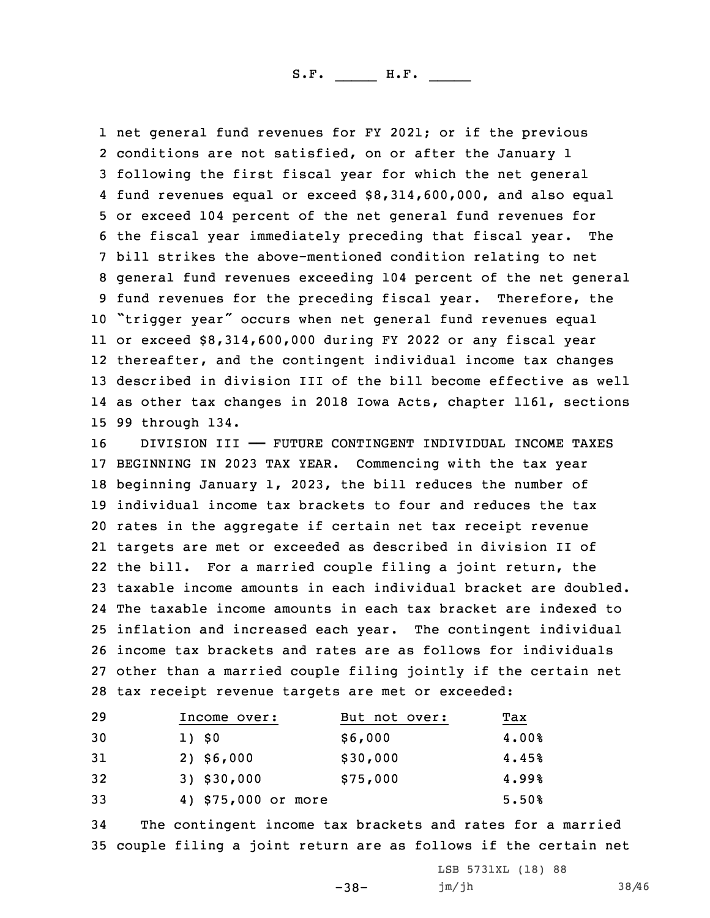net general fund revenues for FY 2021; or if the previous conditions are not satisfied, on or after the January 1 following the first fiscal year for which the net general fund revenues equal or exceed \$8,314,600,000, and also equal or exceed 104 percent of the net general fund revenues for the fiscal year immediately preceding that fiscal year. The bill strikes the above-mentioned condition relating to net general fund revenues exceeding 104 percent of the net general fund revenues for the preceding fiscal year. Therefore, the "trigger year" occurs when net general fund revenues equal or exceed \$8,314,600,000 during FY 2022 or any fiscal year thereafter, and the contingent individual income tax changes described in division III of the bill become effective as well as other tax changes in 2018 Iowa Acts, chapter 1161, sections 99 through 134.

 DIVISION III —— FUTURE CONTINGENT INDIVIDUAL INCOME TAXES BEGINNING IN 2023 TAX YEAR. Commencing with the tax year beginning January 1, 2023, the bill reduces the number of individual income tax brackets to four and reduces the tax rates in the aggregate if certain net tax receipt revenue targets are met or exceeded as described in division II of the bill. For <sup>a</sup> married couple filing <sup>a</sup> joint return, the taxable income amounts in each individual bracket are doubled. The taxable income amounts in each tax bracket are indexed to inflation and increased each year. The contingent individual income tax brackets and rates are as follows for individuals other than <sup>a</sup> married couple filing jointly if the certain net tax receipt revenue targets are met or exceeded:

| Income over: | But not over: | Tax                 |
|--------------|---------------|---------------------|
| 1) \$0       | \$6,000       | 4.00%               |
| $2)$ \$6,000 | \$30,000      | 4.45%               |
| 3) \$30,000  | \$75,000      | 4.99%               |
|              |               | 5.50%               |
|              |               | 4) \$75,000 or more |

34 The contingent income tax brackets and rates for <sup>a</sup> married 35 couple filing <sup>a</sup> joint return are as follows if the certain net

-38-

LSB 5731XL (18) 88 jm/jh 38/46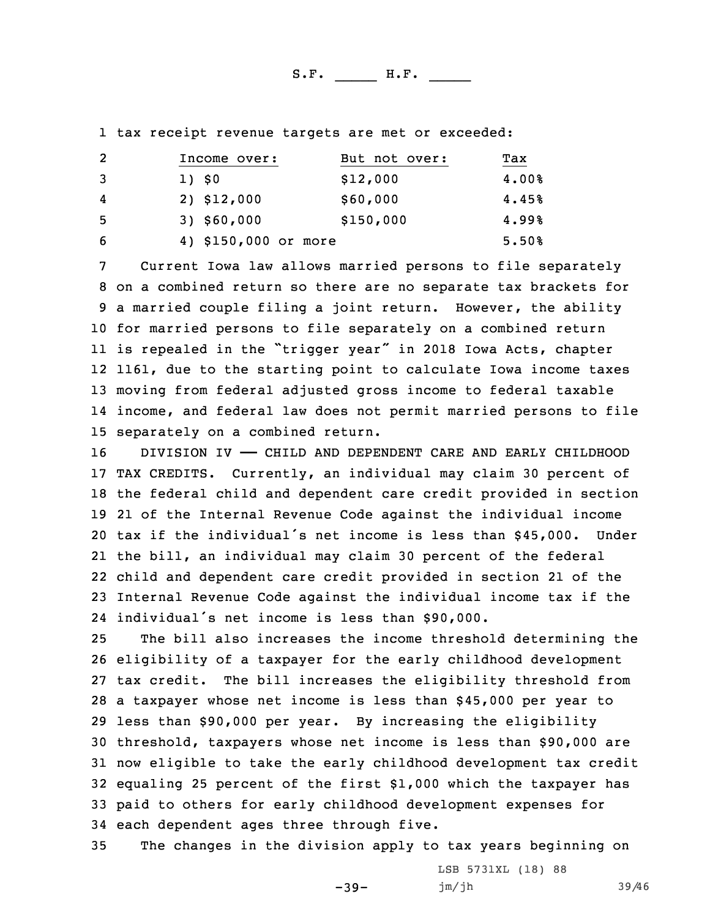1 tax receipt revenue targets are met or exceeded:

| -2  | Income over:         | But not over: | Tax   |
|-----|----------------------|---------------|-------|
| 3   | 1) \$0               | \$12,000      | 4.00% |
| 4   | 2) \$12,000          | \$60,000      | 4.45% |
| - 5 | $3)$ \$60,000        | \$150,000     | 4.99% |
| 6   | 4) \$150,000 or more |               | 5.50% |

 Current Iowa law allows married persons to file separately on <sup>a</sup> combined return so there are no separate tax brackets for <sup>a</sup> married couple filing <sup>a</sup> joint return. However, the ability for married persons to file separately on <sup>a</sup> combined return is repealed in the "trigger year" in <sup>2018</sup> Iowa Acts, chapter 1161, due to the starting point to calculate Iowa income taxes moving from federal adjusted gross income to federal taxable income, and federal law does not permit married persons to file separately on <sup>a</sup> combined return.

16 DIVISION IV - CHILD AND DEPENDENT CARE AND EARLY CHILDHOOD TAX CREDITS. Currently, an individual may claim 30 percent of the federal child and dependent care credit provided in section 21 of the Internal Revenue Code against the individual income tax if the individual's net income is less than \$45,000. Under the bill, an individual may claim 30 percent of the federal child and dependent care credit provided in section 21 of the Internal Revenue Code against the individual income tax if the individual's net income is less than \$90,000.

 The bill also increases the income threshold determining the eligibility of <sup>a</sup> taxpayer for the early childhood development tax credit. The bill increases the eligibility threshold from <sup>a</sup> taxpayer whose net income is less than \$45,000 per year to less than \$90,000 per year. By increasing the eligibility threshold, taxpayers whose net income is less than \$90,000 are now eligible to take the early childhood development tax credit equaling 25 percent of the first \$1,000 which the taxpayer has paid to others for early childhood development expenses for each dependent ages three through five.

35 The changes in the division apply to tax years beginning on

 $-39-$ 

LSB 5731XL (18) 88 jm/jh 39/46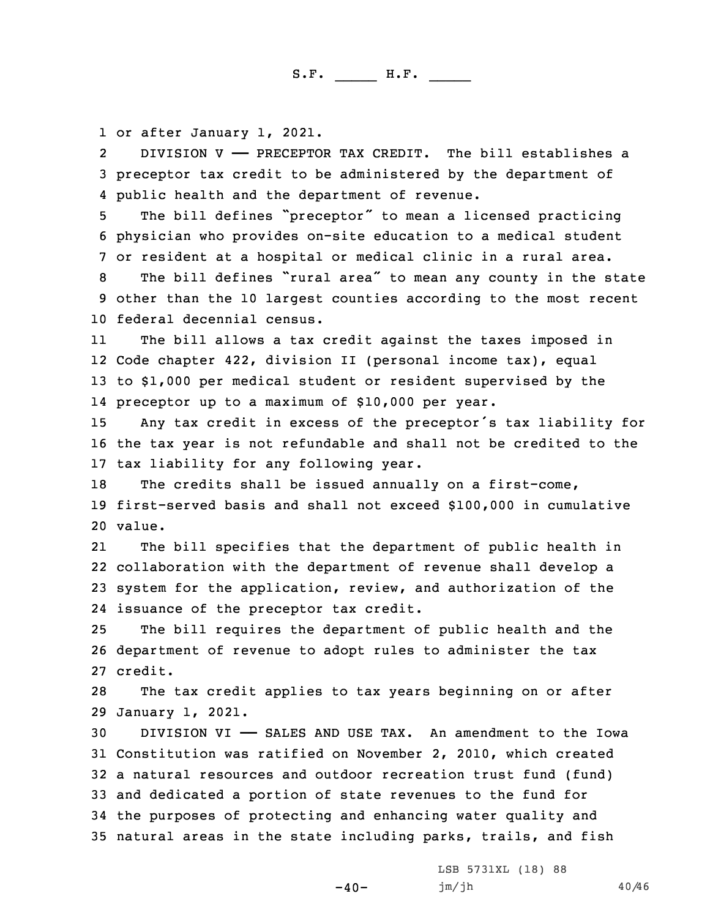1 or after January 1, 2021.

2 DIVISION V —— PRECEPTOR TAX CREDIT. The bill establishes <sup>a</sup> 3 preceptor tax credit to be administered by the department of 4 public health and the department of revenue.

<sup>5</sup> The bill defines "preceptor" to mean <sup>a</sup> licensed practicing 6 physician who provides on-site education to <sup>a</sup> medical student 7 or resident at <sup>a</sup> hospital or medical clinic in <sup>a</sup> rural area.

<sup>8</sup> The bill defines "rural area" to mean any county in the state 9 other than the 10 largest counties according to the most recent 10 federal decennial census.

11 The bill allows <sup>a</sup> tax credit against the taxes imposed in 12 Code chapter 422, division II (personal income tax), equal 13 to \$1,000 per medical student or resident supervised by the 14 preceptor up to <sup>a</sup> maximum of \$10,000 per year.

<sup>15</sup> Any tax credit in excess of the preceptor's tax liability for 16 the tax year is not refundable and shall not be credited to the 17 tax liability for any following year.

18 The credits shall be issued annually on a first-come, 19 first-served basis and shall not exceed \$100,000 in cumulative 20 value.

21 The bill specifies that the department of public health in 22 collaboration with the department of revenue shall develop <sup>a</sup> 23 system for the application, review, and authorization of the 24 issuance of the preceptor tax credit.

25 The bill requires the department of public health and the 26 department of revenue to adopt rules to administer the tax 27 credit.

28 The tax credit applies to tax years beginning on or after 29 January 1, 2021.

 DIVISION VI —— SALES AND USE TAX. An amendment to the Iowa Constitution was ratified on November 2, 2010, which created <sup>a</sup> natural resources and outdoor recreation trust fund (fund) and dedicated <sup>a</sup> portion of state revenues to the fund for the purposes of protecting and enhancing water quality and natural areas in the state including parks, trails, and fish

 $-40-$ 

LSB 5731XL (18) 88 jm/jh 40/46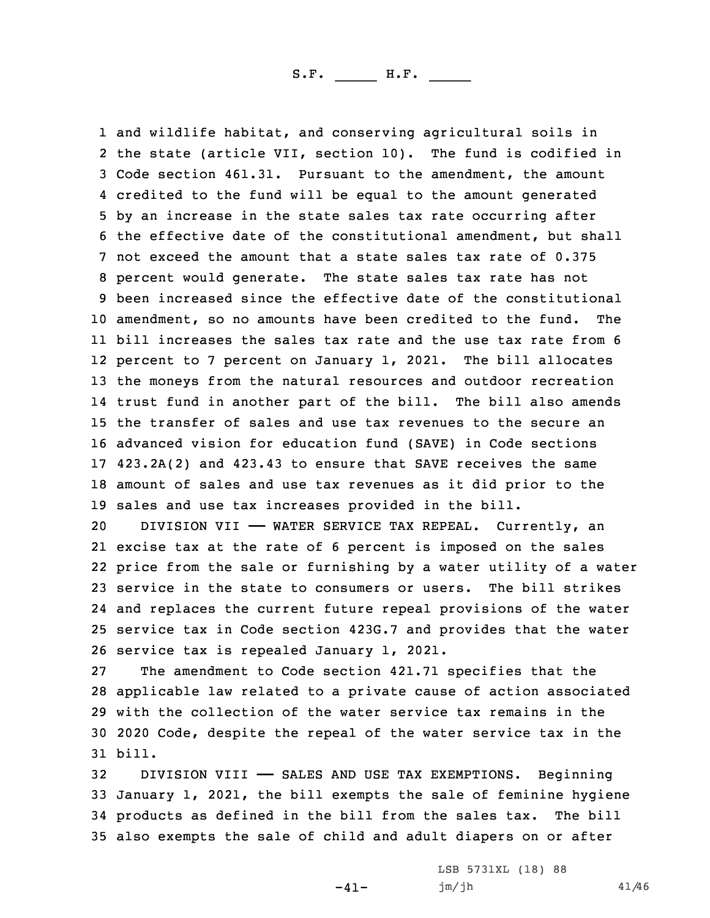and wildlife habitat, and conserving agricultural soils in the state (article VII, section 10). The fund is codified in Code section 461.31. Pursuant to the amendment, the amount credited to the fund will be equal to the amount generated by an increase in the state sales tax rate occurring after the effective date of the constitutional amendment, but shall not exceed the amount that a state sales tax rate of 0.375 percent would generate. The state sales tax rate has not been increased since the effective date of the constitutional amendment, so no amounts have been credited to the fund. The bill increases the sales tax rate and the use tax rate from 6 percent to 7 percent on January 1, 2021. The bill allocates the moneys from the natural resources and outdoor recreation trust fund in another part of the bill. The bill also amends the transfer of sales and use tax revenues to the secure an advanced vision for education fund (SAVE) in Code sections 423.2A(2) and 423.43 to ensure that SAVE receives the same amount of sales and use tax revenues as it did prior to the sales and use tax increases provided in the bill.

 DIVISION VII —— WATER SERVICE TAX REPEAL. Currently, an excise tax at the rate of 6 percent is imposed on the sales price from the sale or furnishing by <sup>a</sup> water utility of <sup>a</sup> water service in the state to consumers or users. The bill strikes and replaces the current future repeal provisions of the water service tax in Code section 423G.7 and provides that the water service tax is repealed January 1, 2021.

 The amendment to Code section 421.71 specifies that the applicable law related to <sup>a</sup> private cause of action associated with the collection of the water service tax remains in the 2020 Code, despite the repeal of the water service tax in the 31 bill.

 DIVISION VIII —— SALES AND USE TAX EXEMPTIONS. Beginning January 1, 2021, the bill exempts the sale of feminine hygiene products as defined in the bill from the sales tax. The bill also exempts the sale of child and adult diapers on or after

 $-41-$ 

LSB 5731XL (18) 88 jm/jh 41/46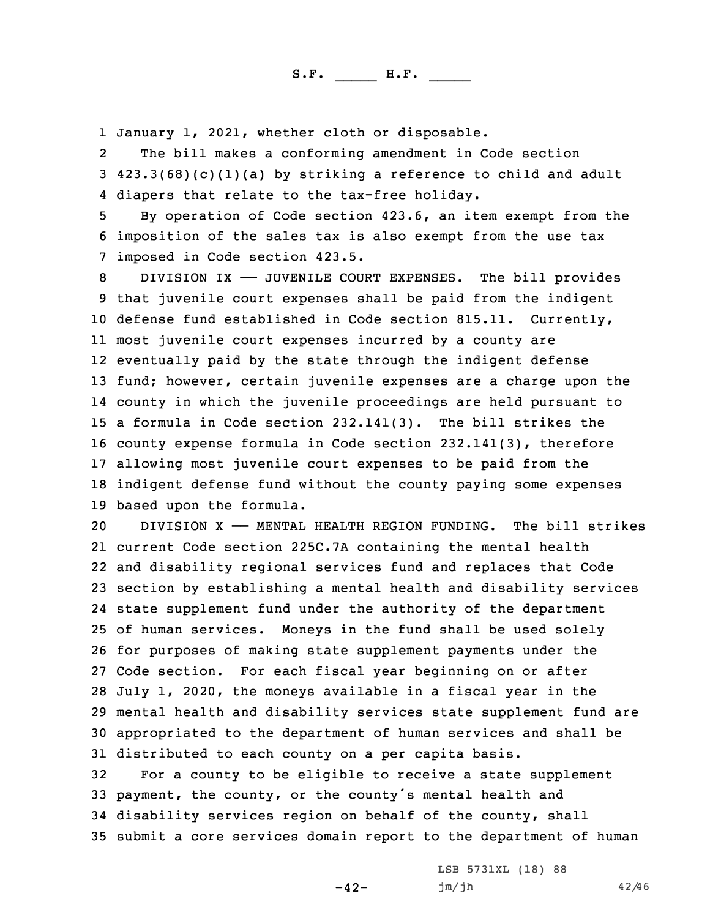1 January 1, 2021, whether cloth or disposable.

2 The bill makes <sup>a</sup> conforming amendment in Code section 3 423.3(68)(c)(1)(a) by striking <sup>a</sup> reference to child and adult 4 diapers that relate to the tax-free holiday.

5 By operation of Code section 423.6, an item exempt from the 6 imposition of the sales tax is also exempt from the use tax 7 imposed in Code section 423.5.

 DIVISION IX —— JUVENILE COURT EXPENSES. The bill provides that juvenile court expenses shall be paid from the indigent defense fund established in Code section 815.11. Currently, most juvenile court expenses incurred by <sup>a</sup> county are eventually paid by the state through the indigent defense 13 fund; however, certain juvenile expenses are a charge upon the county in which the juvenile proceedings are held pursuant to <sup>a</sup> formula in Code section 232.141(3). The bill strikes the county expense formula in Code section 232.141(3), therefore allowing most juvenile court expenses to be paid from the indigent defense fund without the county paying some expenses based upon the formula.

 DIVISION X —— MENTAL HEALTH REGION FUNDING. The bill strikes current Code section 225C.7A containing the mental health and disability regional services fund and replaces that Code section by establishing <sup>a</sup> mental health and disability services state supplement fund under the authority of the department of human services. Moneys in the fund shall be used solely for purposes of making state supplement payments under the Code section. For each fiscal year beginning on or after July 1, 2020, the moneys available in <sup>a</sup> fiscal year in the mental health and disability services state supplement fund are appropriated to the department of human services and shall be distributed to each county on <sup>a</sup> per capita basis. For <sup>a</sup> county to be eligible to receive <sup>a</sup> state supplement payment, the county, or the county's mental health and

34 disability services region on behalf of the county, shall 35 submit <sup>a</sup> core services domain report to the department of human

-42-

LSB 5731XL (18) 88 jm/jh 42/46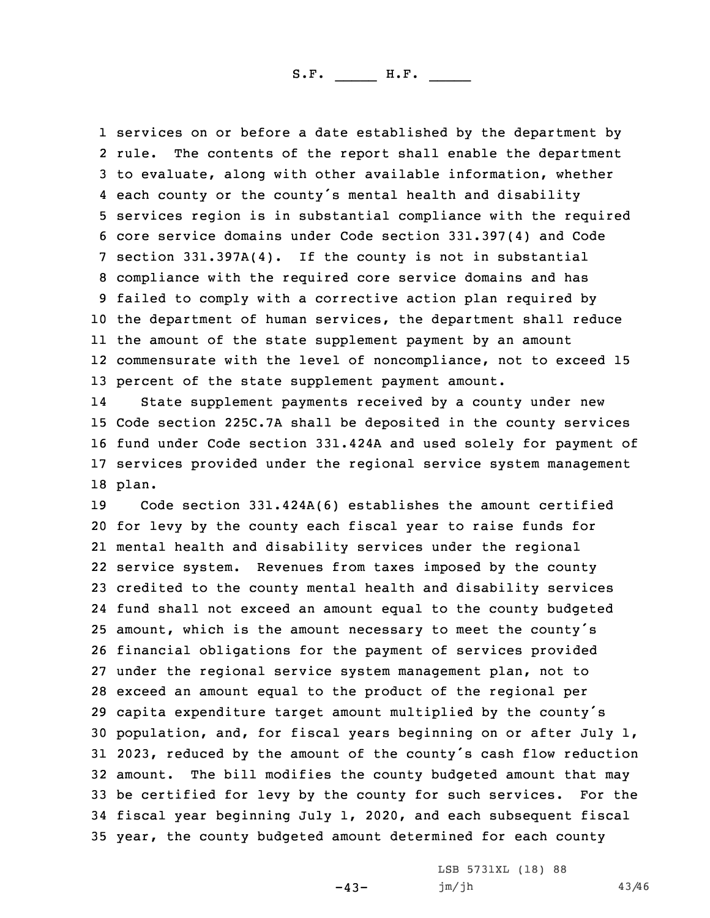services on or before <sup>a</sup> date established by the department by 2 rule. The contents of the report shall enable the department to evaluate, along with other available information, whether each county or the county's mental health and disability services region is in substantial compliance with the required core service domains under Code section 331.397(4) and Code section 331.397A(4). If the county is not in substantial compliance with the required core service domains and has failed to comply with <sup>a</sup> corrective action plan required by the department of human services, the department shall reduce the amount of the state supplement payment by an amount commensurate with the level of noncompliance, not to exceed 15 13 percent of the state supplement payment amount.

14 State supplement payments received by <sup>a</sup> county under new 15 Code section 225C.7A shall be deposited in the county services 16 fund under Code section 331.424A and used solely for payment of 17 services provided under the regional service system management 18 plan.

 Code section 331.424A(6) establishes the amount certified for levy by the county each fiscal year to raise funds for mental health and disability services under the regional service system. Revenues from taxes imposed by the county credited to the county mental health and disability services fund shall not exceed an amount equal to the county budgeted amount, which is the amount necessary to meet the county's financial obligations for the payment of services provided under the regional service system management plan, not to exceed an amount equal to the product of the regional per capita expenditure target amount multiplied by the county's population, and, for fiscal years beginning on or after July 1, 2023, reduced by the amount of the county's cash flow reduction amount. The bill modifies the county budgeted amount that may be certified for levy by the county for such services. For the fiscal year beginning July 1, 2020, and each subsequent fiscal year, the county budgeted amount determined for each county

 $-43-$ 

LSB 5731XL (18) 88 jm/jh 43/46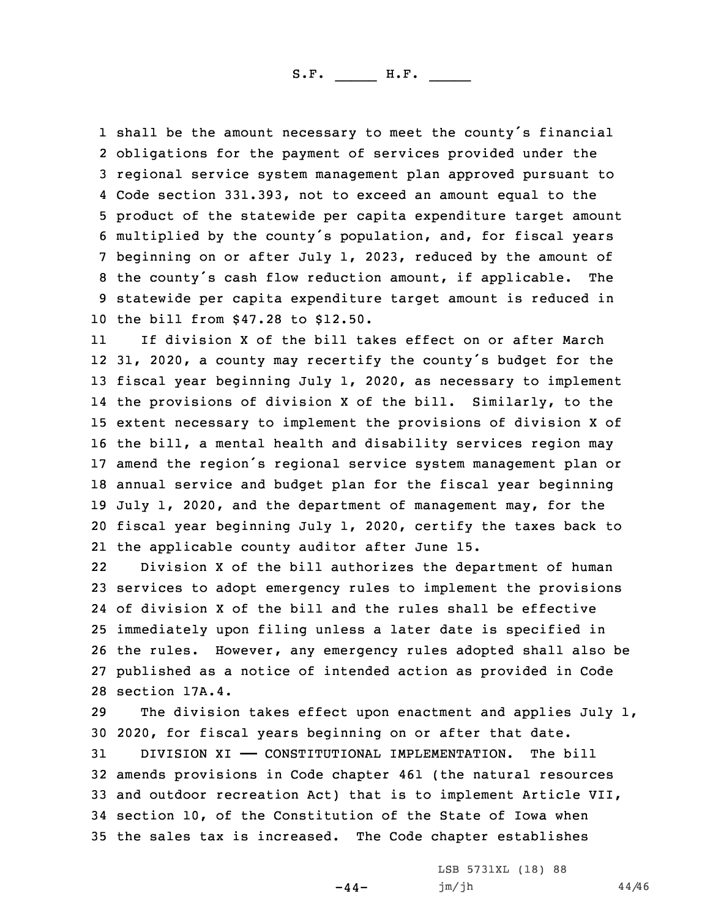shall be the amount necessary to meet the county's financial obligations for the payment of services provided under the regional service system management plan approved pursuant to Code section 331.393, not to exceed an amount equal to the product of the statewide per capita expenditure target amount multiplied by the county's population, and, for fiscal years beginning on or after July 1, 2023, reduced by the amount of the county's cash flow reduction amount, if applicable. The statewide per capita expenditure target amount is reduced in the bill from \$47.28 to \$12.50.

11 If division X of the bill takes effect on or after March 31, 2020, <sup>a</sup> county may recertify the county's budget for the fiscal year beginning July 1, 2020, as necessary to implement the provisions of division <sup>X</sup> of the bill. Similarly, to the extent necessary to implement the provisions of division <sup>X</sup> of the bill, <sup>a</sup> mental health and disability services region may amend the region's regional service system management plan or annual service and budget plan for the fiscal year beginning July 1, 2020, and the department of management may, for the fiscal year beginning July 1, 2020, certify the taxes back to the applicable county auditor after June 15.

22 Division <sup>X</sup> of the bill authorizes the department of human services to adopt emergency rules to implement the provisions of division X of the bill and the rules shall be effective immediately upon filing unless <sup>a</sup> later date is specified in the rules. However, any emergency rules adopted shall also be published as <sup>a</sup> notice of intended action as provided in Code section 17A.4.

29 The division takes effect upon enactment and applies July 1, 30 2020, for fiscal years beginning on or after that date.

 DIVISION XI —— CONSTITUTIONAL IMPLEMENTATION. The bill amends provisions in Code chapter 461 (the natural resources and outdoor recreation Act) that is to implement Article VII, section 10, of the Constitution of the State of Iowa when the sales tax is increased. The Code chapter establishes

 $-44-$ 

LSB 5731XL (18) 88 jm/jh 44/46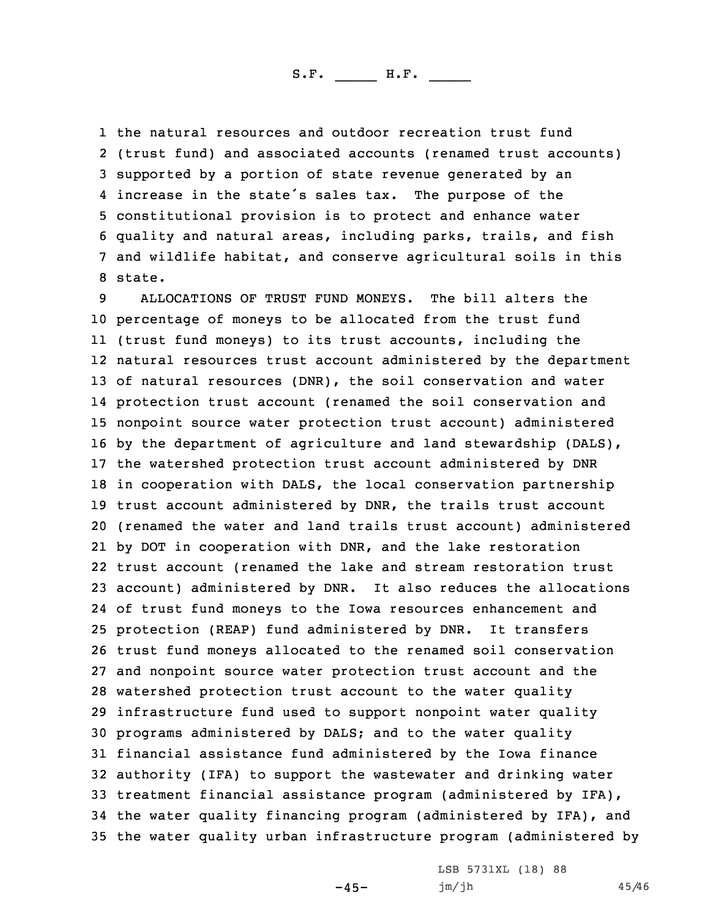the natural resources and outdoor recreation trust fund (trust fund) and associated accounts (renamed trust accounts) supported by <sup>a</sup> portion of state revenue generated by an increase in the state's sales tax. The purpose of the constitutional provision is to protect and enhance water quality and natural areas, including parks, trails, and fish and wildlife habitat, and conserve agricultural soils in this 8 state.

 ALLOCATIONS OF TRUST FUND MONEYS. The bill alters the percentage of moneys to be allocated from the trust fund (trust fund moneys) to its trust accounts, including the natural resources trust account administered by the department of natural resources (DNR), the soil conservation and water protection trust account (renamed the soil conservation and nonpoint source water protection trust account) administered by the department of agriculture and land stewardship (DALS), the watershed protection trust account administered by DNR in cooperation with DALS, the local conservation partnership trust account administered by DNR, the trails trust account (renamed the water and land trails trust account) administered by DOT in cooperation with DNR, and the lake restoration trust account (renamed the lake and stream restoration trust account) administered by DNR. It also reduces the allocations of trust fund moneys to the Iowa resources enhancement and protection (REAP) fund administered by DNR. It transfers trust fund moneys allocated to the renamed soil conservation and nonpoint source water protection trust account and the watershed protection trust account to the water quality infrastructure fund used to support nonpoint water quality programs administered by DALS; and to the water quality financial assistance fund administered by the Iowa finance authority (IFA) to support the wastewater and drinking water treatment financial assistance program (administered by IFA), the water quality financing program (administered by IFA), and the water quality urban infrastructure program (administered by

-45-

LSB 5731XL (18) 88 jm/jh 45/46